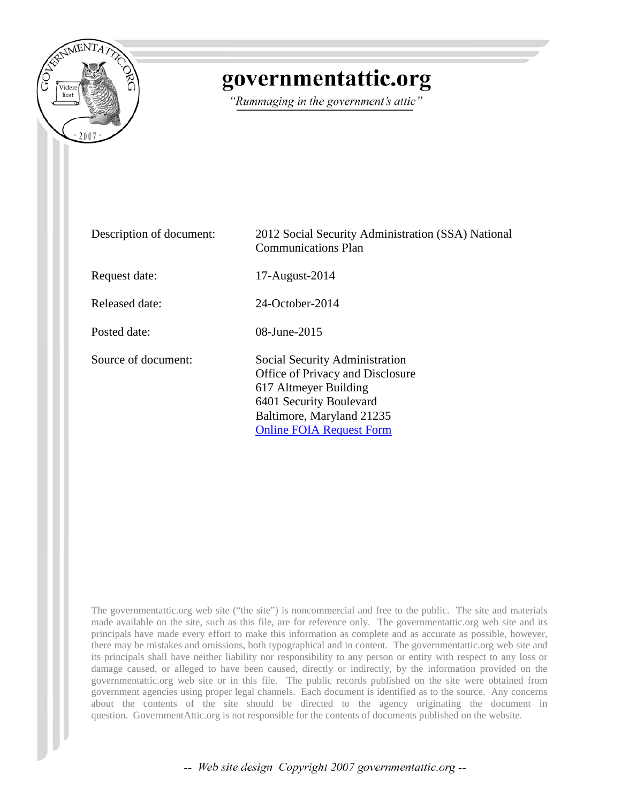

# governmentattic.org

"Rummaging in the government's attic"

| Description of document: | 2012 Social Security Administration (SSA) National<br><b>Communications Plan</b>                                                                                                       |
|--------------------------|----------------------------------------------------------------------------------------------------------------------------------------------------------------------------------------|
| Request date:            | 17-August-2014                                                                                                                                                                         |
| Released date:           | 24-October-2014                                                                                                                                                                        |
| Posted date:             | 08-June-2015                                                                                                                                                                           |
| Source of document:      | Social Security Administration<br>Office of Privacy and Disclosure<br>617 Altmeyer Building<br>6401 Security Boulevard<br>Baltimore, Maryland 21235<br><b>Online FOIA Request Form</b> |

The governmentattic.org web site ("the site") is noncommercial and free to the public. The site and materials made available on the site, such as this file, are for reference only. The governmentattic.org web site and its principals have made every effort to make this information as complete and as accurate as possible, however, there may be mistakes and omissions, both typographical and in content. The governmentattic.org web site and its principals shall have neither liability nor responsibility to any person or entity with respect to any loss or damage caused, or alleged to have been caused, directly or indirectly, by the information provided on the governmentattic.org web site or in this file. The public records published on the site were obtained from government agencies using proper legal channels. Each document is identified as to the source. Any concerns about the contents of the site should be directed to the agency originating the document in question. GovernmentAttic.org is not responsible for the contents of documents published on the website.

-- Web site design Copyright 2007 governmentattic.org --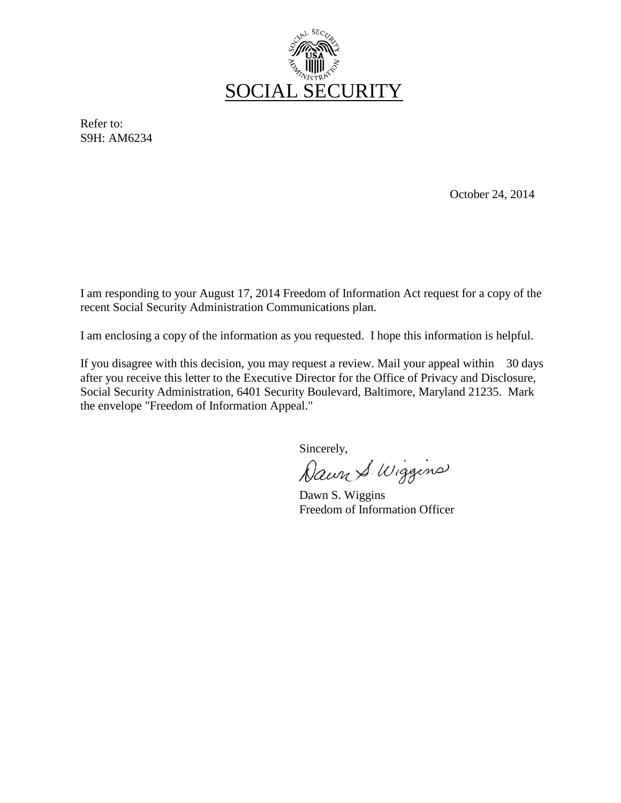

Refer to: S9H: AM6234

October 24, 2014

I am responding to your August 17, 2014 Freedom of Information Act request for a copy of the recent Social Security Administration Communications plan.

I am enclosing a copy of the information as you requested. I hope this information is helpful.

If you disagree with this decision, you may request a review. Mail your appeal within 30 days after you receive this letter to the Executive Director for the Office of Privacy and Disclosure, Social Security Administration, 6401 Security Boulevard, Baltimore, Maryland 21235. Mark the envelope "Freedom of Information Appeal."

Sincerely,<br>Dawn S. Wiggins

Dawn S. Wiggins Freedom of Information Officer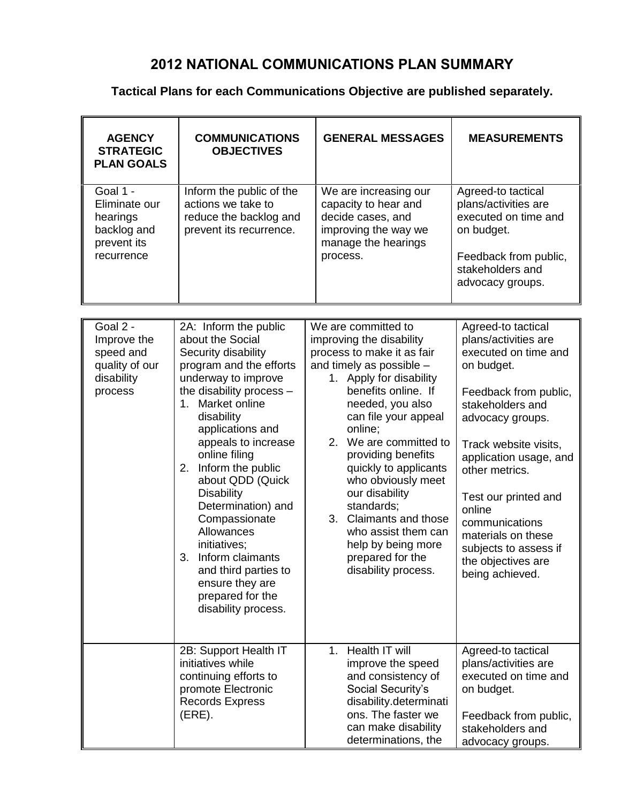# **2012 NATIONAL COMMUNICATIONS PLAN SUMMARY**

# **Tactical Plans for each Communications Objective are published separately.**

| <b>AGENCY</b><br><b>STRATEGIC</b><br><b>PLAN GOALS</b>                            | <b>COMMUNICATIONS</b><br><b>OBJECTIVES</b>                                                                                                                                                                                                                                                                                                                                                                                                                                                                    | <b>GENERAL MESSAGES</b>                                                                                                                                                                                                                                                                                                                                                                                                                                                                      | <b>MEASUREMENTS</b>                                                                                                                                                                                                                                                                                                                                                |
|-----------------------------------------------------------------------------------|---------------------------------------------------------------------------------------------------------------------------------------------------------------------------------------------------------------------------------------------------------------------------------------------------------------------------------------------------------------------------------------------------------------------------------------------------------------------------------------------------------------|----------------------------------------------------------------------------------------------------------------------------------------------------------------------------------------------------------------------------------------------------------------------------------------------------------------------------------------------------------------------------------------------------------------------------------------------------------------------------------------------|--------------------------------------------------------------------------------------------------------------------------------------------------------------------------------------------------------------------------------------------------------------------------------------------------------------------------------------------------------------------|
| Goal 1 -<br>Eliminate our<br>hearings<br>backlog and<br>prevent its<br>recurrence | Inform the public of the<br>actions we take to<br>reduce the backlog and<br>prevent its recurrence.                                                                                                                                                                                                                                                                                                                                                                                                           | We are increasing our<br>capacity to hear and<br>decide cases, and<br>improving the way we<br>manage the hearings<br>process.                                                                                                                                                                                                                                                                                                                                                                | Agreed-to tactical<br>plans/activities are<br>executed on time and<br>on budget.<br>Feedback from public,<br>stakeholders and<br>advocacy groups.                                                                                                                                                                                                                  |
|                                                                                   |                                                                                                                                                                                                                                                                                                                                                                                                                                                                                                               |                                                                                                                                                                                                                                                                                                                                                                                                                                                                                              |                                                                                                                                                                                                                                                                                                                                                                    |
| Goal 2 -<br>Improve the<br>speed and<br>quality of our<br>disability<br>process   | 2A: Inform the public<br>about the Social<br>Security disability<br>program and the efforts<br>underway to improve<br>the disability process -<br>Market online<br>$1_{-}$<br>disability<br>applications and<br>appeals to increase<br>online filing<br>Inform the public<br>2.<br>about QDD (Quick<br><b>Disability</b><br>Determination) and<br>Compassionate<br>Allowances<br>initiatives;<br>3.<br>Inform claimants<br>and third parties to<br>ensure they are<br>prepared for the<br>disability process. | We are committed to<br>improving the disability<br>process to make it as fair<br>and timely as possible -<br>1. Apply for disability<br>benefits online. If<br>needed, you also<br>can file your appeal<br>online;<br>We are committed to<br>2 <sub>1</sub><br>providing benefits<br>quickly to applicants<br>who obviously meet<br>our disability<br>standards;<br>3.<br><b>Claimants and those</b><br>who assist them can<br>help by being more<br>prepared for the<br>disability process. | Agreed-to tactical<br>plans/activities are<br>executed on time and<br>on budget.<br>Feedback from public,<br>stakeholders and<br>advocacy groups.<br>Track website visits,<br>application usage, and<br>other metrics.<br>Test our printed and<br>online<br>communications<br>materials on these<br>subjects to assess if<br>the objectives are<br>being achieved. |
|                                                                                   | 2B: Support Health IT<br>initiatives while<br>continuing efforts to<br>promote Electronic<br><b>Records Express</b><br>(ERE).                                                                                                                                                                                                                                                                                                                                                                                 | 1. Health IT will<br>improve the speed<br>and consistency of<br>Social Security's<br>disability.determinati<br>ons. The faster we<br>can make disability<br>determinations, the                                                                                                                                                                                                                                                                                                              | Agreed-to tactical<br>plans/activities are<br>executed on time and<br>on budget.<br>Feedback from public,<br>stakeholders and<br>advocacy groups.                                                                                                                                                                                                                  |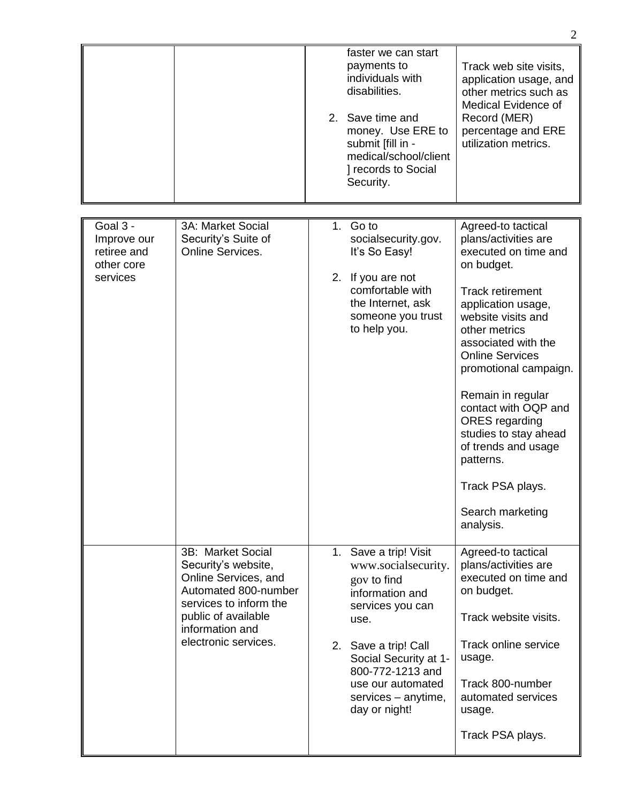|                                                                  |                                                                                                                                                                                      |          | faster we can start<br>payments to<br>individuals with<br>disabilities.<br>2. Save time and<br>money. Use ERE to<br>submit [fill in -<br>medical/school/client<br>] records to Social<br>Security.                                           | Track web site visits,<br>application usage, and<br>other metrics such as<br>Medical Evidence of<br>Record (MER)<br>percentage and ERE<br>utilization metrics.                                                                                                                                                                                                                                                                             |
|------------------------------------------------------------------|--------------------------------------------------------------------------------------------------------------------------------------------------------------------------------------|----------|----------------------------------------------------------------------------------------------------------------------------------------------------------------------------------------------------------------------------------------------|--------------------------------------------------------------------------------------------------------------------------------------------------------------------------------------------------------------------------------------------------------------------------------------------------------------------------------------------------------------------------------------------------------------------------------------------|
|                                                                  |                                                                                                                                                                                      |          |                                                                                                                                                                                                                                              |                                                                                                                                                                                                                                                                                                                                                                                                                                            |
| Goal 3 -<br>Improve our<br>retiree and<br>other core<br>services | 3A: Market Social<br>Security's Suite of<br>Online Services.                                                                                                                         | 1.<br>2. | Go to<br>socialsecurity.gov.<br>It's So Easy!<br>If you are not<br>comfortable with<br>the Internet, ask<br>someone you trust<br>to help you.                                                                                                | Agreed-to tactical<br>plans/activities are<br>executed on time and<br>on budget.<br><b>Track retirement</b><br>application usage,<br>website visits and<br>other metrics<br>associated with the<br><b>Online Services</b><br>promotional campaign.<br>Remain in regular<br>contact with OQP and<br><b>ORES</b> regarding<br>studies to stay ahead<br>of trends and usage<br>patterns.<br>Track PSA plays.<br>Search marketing<br>analysis. |
|                                                                  | 3B: Market Social<br>Security's website,<br>Online Services, and<br>Automated 800-number<br>services to inform the<br>public of available<br>information and<br>electronic services. |          | 1. Save a trip! Visit<br>www.socialsecurity.<br>gov to find<br>information and<br>services you can<br>use.<br>2. Save a trip! Call<br>Social Security at 1-<br>800-772-1213 and<br>use our automated<br>services – anytime,<br>day or night! | Agreed-to tactical<br>plans/activities are<br>executed on time and<br>on budget.<br>Track website visits.<br>Track online service<br>usage.<br>Track 800-number<br>automated services<br>usage.<br>Track PSA plays.                                                                                                                                                                                                                        |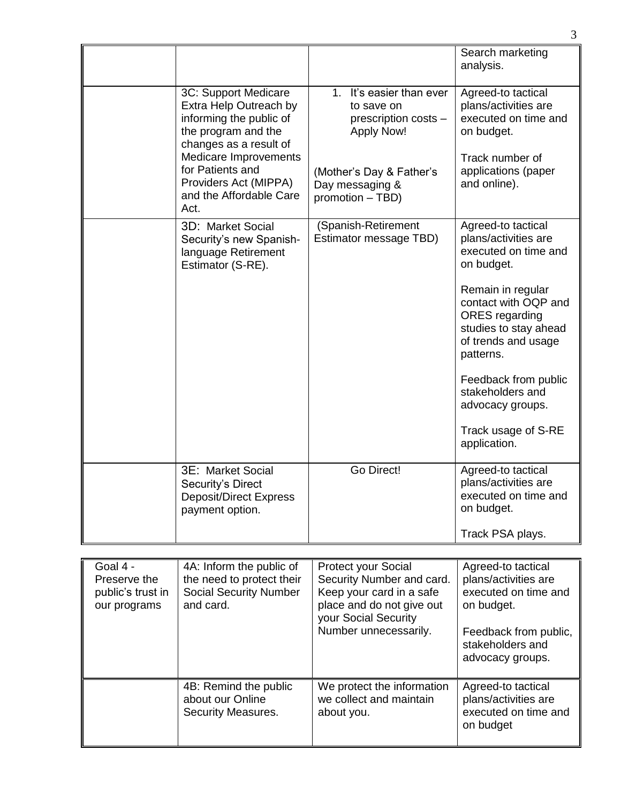|                                                               |                                                                                                                            |                                                                                                                                          | Search marketing<br>analysis.                                                                                                   |
|---------------------------------------------------------------|----------------------------------------------------------------------------------------------------------------------------|------------------------------------------------------------------------------------------------------------------------------------------|---------------------------------------------------------------------------------------------------------------------------------|
|                                                               | 3C: Support Medicare<br>Extra Help Outreach by<br>informing the public of<br>the program and the<br>changes as a result of | 1. It's easier than ever<br>to save on<br>prescription costs -<br><b>Apply Now!</b>                                                      | Agreed-to tactical<br>plans/activities are<br>executed on time and<br>on budget.                                                |
|                                                               | Medicare Improvements<br>for Patients and<br>Providers Act (MIPPA)<br>and the Affordable Care<br>Act.                      | (Mother's Day & Father's<br>Day messaging &<br>promotion - TBD)                                                                          | Track number of<br>applications (paper<br>and online).                                                                          |
|                                                               | 3D: Market Social<br>Security's new Spanish-<br>language Retirement<br>Estimator (S-RE).                                   | (Spanish-Retirement<br>Estimator message TBD)                                                                                            | Agreed-to tactical<br>plans/activities are<br>executed on time and<br>on budget.                                                |
|                                                               |                                                                                                                            |                                                                                                                                          | Remain in regular<br>contact with OQP and<br><b>ORES</b> regarding<br>studies to stay ahead<br>of trends and usage<br>patterns. |
|                                                               |                                                                                                                            |                                                                                                                                          | Feedback from public<br>stakeholders and<br>advocacy groups.                                                                    |
|                                                               |                                                                                                                            |                                                                                                                                          | Track usage of S-RE<br>application.                                                                                             |
|                                                               | 3E: Market Social<br>Security's Direct<br><b>Deposit/Direct Express</b><br>payment option.                                 | Go Direct!                                                                                                                               | Agreed-to tactical<br>plans/activities are<br>executed on time and<br>on budget.                                                |
|                                                               |                                                                                                                            |                                                                                                                                          | Track PSA plays.                                                                                                                |
|                                                               |                                                                                                                            |                                                                                                                                          |                                                                                                                                 |
| Goal 4 -<br>Preserve the<br>public's trust in<br>our programs | 4A: Inform the public of<br>the need to protect their<br><b>Social Security Number</b><br>and card.                        | <b>Protect your Social</b><br>Security Number and card.<br>Keep your card in a safe<br>place and do not give out<br>your Social Security | Agreed-to tactical<br>plans/activities are<br>executed on time and<br>on budget.                                                |
|                                                               |                                                                                                                            | Number unnecessarily.                                                                                                                    | Feedback from public,<br>stakeholders and<br>advocacy groups.                                                                   |

|                                                                 |                                                                     | stakeholders and<br>advocacy groups.                                            |
|-----------------------------------------------------------------|---------------------------------------------------------------------|---------------------------------------------------------------------------------|
| 4B: Remind the public<br>about our Online<br>Security Measures. | We protect the information<br>we collect and maintain<br>about you. | Agreed-to tactical<br>plans/activities are<br>executed on time and<br>on budget |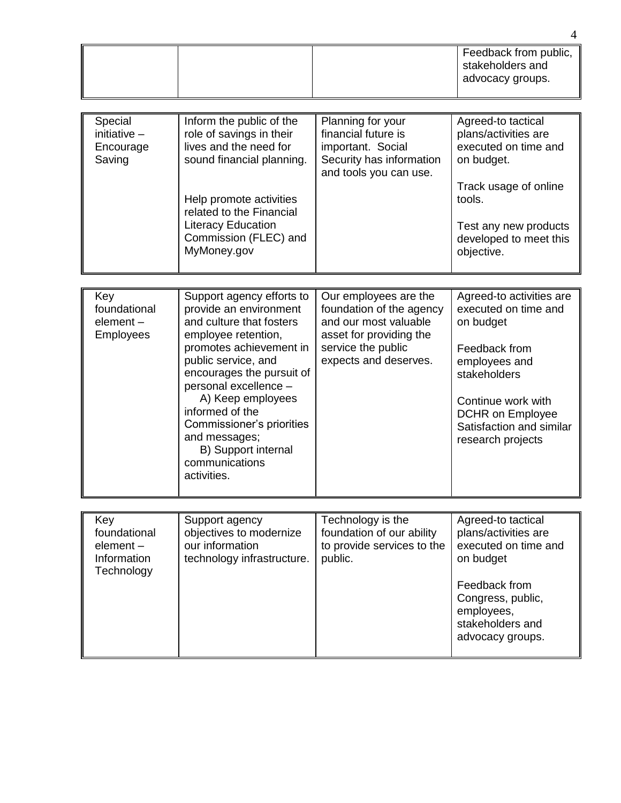|                                                              |                                                                                                                                                                                                                                                                                                                                                              |                                                                                                                                                      | 4                                                                                                                                                                                                                 |  |
|--------------------------------------------------------------|--------------------------------------------------------------------------------------------------------------------------------------------------------------------------------------------------------------------------------------------------------------------------------------------------------------------------------------------------------------|------------------------------------------------------------------------------------------------------------------------------------------------------|-------------------------------------------------------------------------------------------------------------------------------------------------------------------------------------------------------------------|--|
|                                                              |                                                                                                                                                                                                                                                                                                                                                              |                                                                                                                                                      | Feedback from public,<br>stakeholders and<br>advocacy groups.                                                                                                                                                     |  |
|                                                              |                                                                                                                                                                                                                                                                                                                                                              |                                                                                                                                                      |                                                                                                                                                                                                                   |  |
| Special<br>initiative $-$<br>Encourage<br>Saving             | Inform the public of the<br>role of savings in their<br>lives and the need for<br>sound financial planning.<br>Help promote activities<br>related to the Financial<br><b>Literacy Education</b><br>Commission (FLEC) and<br>MyMoney.gov                                                                                                                      | Planning for your<br>financial future is<br>important. Social<br>Security has information<br>and tools you can use.                                  | Agreed-to tactical<br>plans/activities are<br>executed on time and<br>on budget.<br>Track usage of online<br>tools.<br>Test any new products<br>developed to meet this<br>objective.                              |  |
|                                                              |                                                                                                                                                                                                                                                                                                                                                              |                                                                                                                                                      |                                                                                                                                                                                                                   |  |
| Key<br>foundational<br>element-<br><b>Employees</b>          | Support agency efforts to<br>provide an environment<br>and culture that fosters<br>employee retention,<br>promotes achievement in<br>public service, and<br>encourages the pursuit of<br>personal excellence -<br>A) Keep employees<br>informed of the<br>Commissioner's priorities<br>and messages;<br>B) Support internal<br>communications<br>activities. | Our employees are the<br>foundation of the agency<br>and our most valuable<br>asset for providing the<br>service the public<br>expects and deserves. | Agreed-to activities are<br>executed on time and<br>on budget<br>Feedback from<br>employees and<br>stakeholders<br>Continue work with<br><b>DCHR</b> on Employee<br>Satisfaction and similar<br>research projects |  |
|                                                              |                                                                                                                                                                                                                                                                                                                                                              |                                                                                                                                                      |                                                                                                                                                                                                                   |  |
| Key<br>foundational<br>element-<br>Information<br>Technology | Support agency<br>objectives to modernize<br>our information<br>technology infrastructure.                                                                                                                                                                                                                                                                   | Technology is the<br>foundation of our ability<br>to provide services to the<br>public.                                                              | Agreed-to tactical<br>plans/activities are<br>executed on time and<br>on budget<br>Feedback from<br>Congress, public,<br>employees,<br>stakeholders and<br>advocacy groups.                                       |  |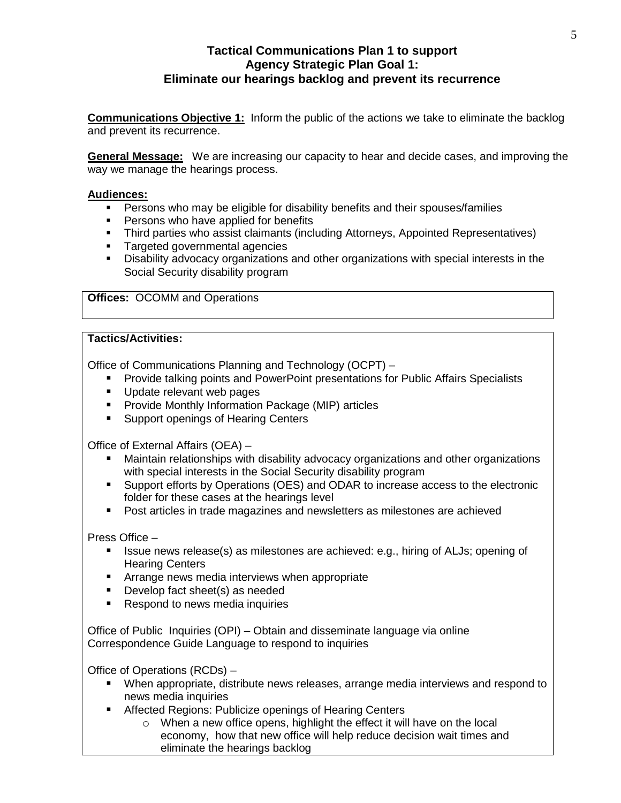# **Tactical Communications Plan 1 to support Agency Strategic Plan Goal 1: Eliminate our hearings backlog and prevent its recurrence**

**Communications Objective 1:** Inform the public of the actions we take to eliminate the backlog and prevent its recurrence.

**General Message:** We are increasing our capacity to hear and decide cases, and improving the way we manage the hearings process.

# **Audiences:**

- **Persons who may be eligible for disability benefits and their spouses/families**
- **Persons who have applied for benefits**
- Third parties who assist claimants (including Attorneys, Appointed Representatives)
- **Targeted governmental agencies**
- Disability advocacy organizations and other organizations with special interests in the Social Security disability program

**Offices:** OCOMM and Operations

#### **Tactics/Activities:**

Office of Communications Planning and Technology (OCPT) –

- **Provide talking points and PowerPoint presentations for Public Affairs Specialists**
- Update relevant web pages
- **Provide Monthly Information Package (MIP) articles**
- **Support openings of Hearing Centers**

Office of External Affairs (OEA) –

- Maintain relationships with disability advocacy organizations and other organizations with special interests in the Social Security disability program
- Support efforts by Operations (OES) and ODAR to increase access to the electronic folder for these cases at the hearings level
- **Post articles in trade magazines and newsletters as milestones are achieved**

# Press Office –

- **ISSUE NEWS release(s) as milestones are achieved: e.g., hiring of ALJs; opening of** Hearing Centers
- **EXTERN** Arrange news media interviews when appropriate
- Develop fact sheet(s) as needed
- Respond to news media inquiries

Office of Public Inquiries (OPI) – Obtain and disseminate language via online Correspondence Guide Language to respond to inquiries

Office of Operations (RCDs) –

- When appropriate, distribute news releases, arrange media interviews and respond to news media inquiries
- **Affected Regions: Publicize openings of Hearing Centers** 
	- o When a new office opens, highlight the effect it will have on the local economy, how that new office will help reduce decision wait times and eliminate the hearings backlog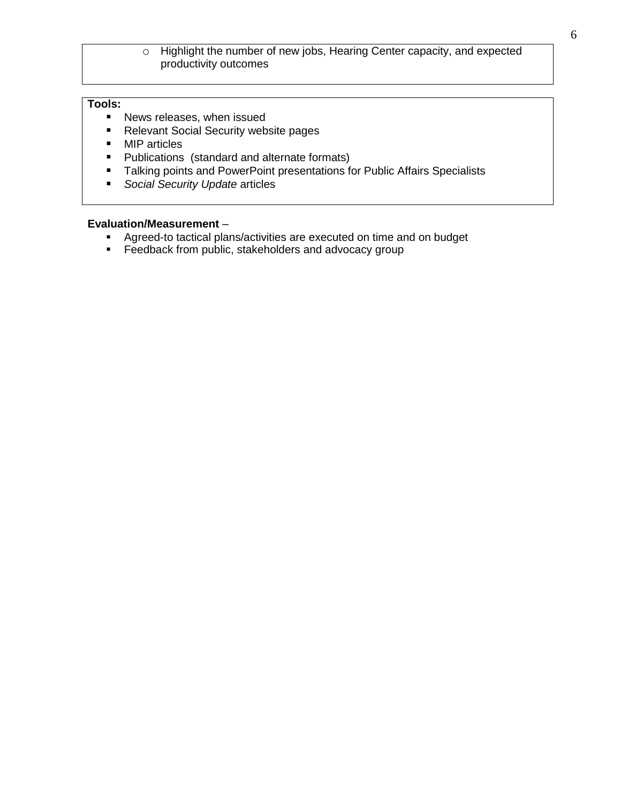# o Highlight the number of new jobs, Hearing Center capacity, and expected productivity outcomes

# **Tools:**

- **News releases, when issued**
- **Relevant Social Security website pages**
- **MIP** articles
- **Publications (standard and alternate formats)**
- **Talking points and PowerPoint presentations for Public Affairs Specialists**
- *Social Security Update* articles

- **Agreed-to tactical plans/activities are executed on time and on budget**
- **Feedback from public, stakeholders and advocacy group**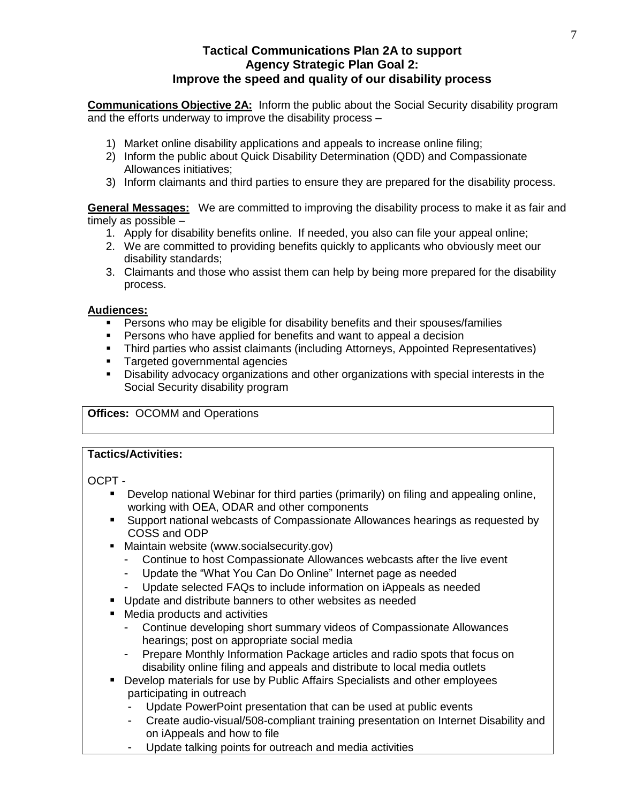# **Tactical Communications Plan 2A to support Agency Strategic Plan Goal 2: Improve the speed and quality of our disability process**

**Communications Objective 2A:** Inform the public about the Social Security disability program and the efforts underway to improve the disability process –

- 1) Market online disability applications and appeals to increase online filing;
- 2) Inform the public about Quick Disability Determination (QDD) and Compassionate Allowances initiatives;
- 3) Inform claimants and third parties to ensure they are prepared for the disability process.

**General Messages:** We are committed to improving the disability process to make it as fair and timely as possible –

- 1. Apply for disability benefits online. If needed, you also can file your appeal online;
- 2. We are committed to providing benefits quickly to applicants who obviously meet our disability standards;
- 3. Claimants and those who assist them can help by being more prepared for the disability process.

# **Audiences:**

- **Persons who may be eligible for disability benefits and their spouses/families**
- **Persons who have applied for benefits and want to appeal a decision**
- Third parties who assist claimants (including Attorneys, Appointed Representatives)
- **Targeted governmental agencies**
- Disability advocacy organizations and other organizations with special interests in the Social Security disability program

# **Offices:** OCOMM and Operations

# **Tactics/Activities:**

OCPT -

- Develop national Webinar for third parties (primarily) on filing and appealing online, working with OEA, ODAR and other components
- **Support national webcasts of Compassionate Allowances hearings as requested by** COSS and ODP
- **Maintain website (www.socialsecurity.gov)** 
	- Continue to host Compassionate Allowances webcasts after the live event
	- Update the "What You Can Do Online" Internet page as needed
	- Update selected FAQs to include information on iAppeals as needed
- **Update and distribute banners to other websites as needed**
- Media products and activities
	- Continue developing short summary videos of Compassionate Allowances hearings; post on appropriate social media
	- Prepare Monthly Information Package articles and radio spots that focus on disability online filing and appeals and distribute to local media outlets
- **Develop materials for use by Public Affairs Specialists and other employees** participating in outreach
	- Update PowerPoint presentation that can be used at public events
	- Create audio-visual/508-compliant training presentation on Internet Disability and on iAppeals and how to file
	- Update talking points for outreach and media activities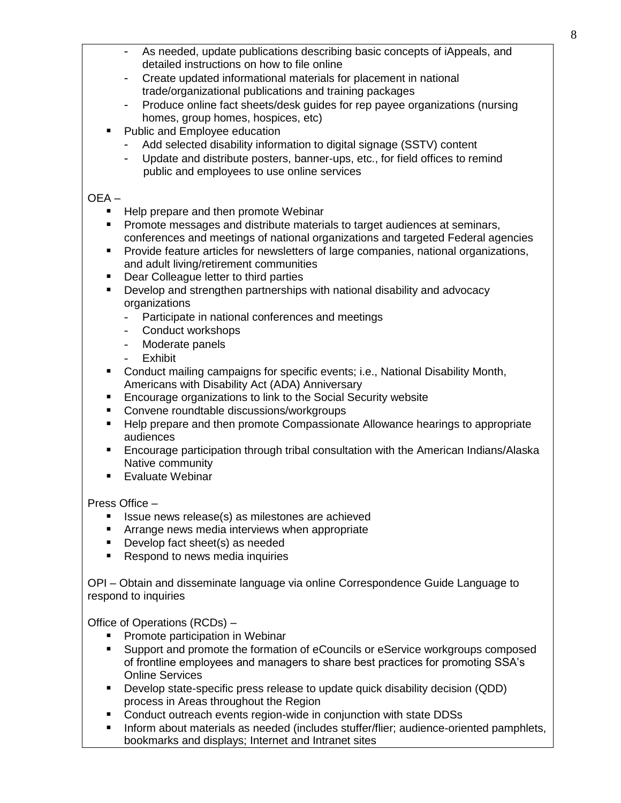- As needed, update publications describing basic concepts of iAppeals, and detailed instructions on how to file online
- Create updated informational materials for placement in national trade/organizational publications and training packages
- Produce online fact sheets/desk guides for rep payee organizations (nursing homes, group homes, hospices, etc)
- Public and Employee education
	- Add selected disability information to digital signage (SSTV) content
	- Update and distribute posters, banner-ups, etc., for field offices to remind public and employees to use online services

# OEA –

- Help prepare and then promote Webinar
- Promote messages and distribute materials to target audiences at seminars, conferences and meetings of national organizations and targeted Federal agencies
- **Provide feature articles for newsletters of large companies, national organizations,** and adult living/retirement communities
- **Dear Colleague letter to third parties**
- **Develop and strengthen partnerships with national disability and advocacy** organizations
	- Participate in national conferences and meetings
	- Conduct workshops
	- Moderate panels
	- **Exhibit**
- **Conduct mailing campaigns for specific events; i.e., National Disability Month,** Americans with Disability Act (ADA) Anniversary
- **Encourage organizations to link to the Social Security website**
- Convene roundtable discussions/workgroups
- Help prepare and then promote Compassionate Allowance hearings to appropriate audiences
- Encourage participation through tribal consultation with the American Indians/Alaska Native community
- Evaluate Webinar

# Press Office –

- Issue news release(s) as milestones are achieved
- **EXTERG** Arrange news media interviews when appropriate
- Develop fact sheet(s) as needed
- Respond to news media inquiries

OPI – Obtain and disseminate language via online Correspondence Guide Language to respond to inquiries

Office of Operations (RCDs) –

- **Promote participation in Webinar**
- Support and promote the formation of eCouncils or eService workgroups composed of frontline employees and managers to share best practices for promoting SSA's Online Services
- Develop state-specific press release to update quick disability decision (QDD) process in Areas throughout the Region
- **Conduct outreach events region-wide in conjunction with state DDSs**
- **Inform about materials as needed (includes stuffer/flier; audience-oriented pamphlets,** bookmarks and displays; Internet and Intranet sites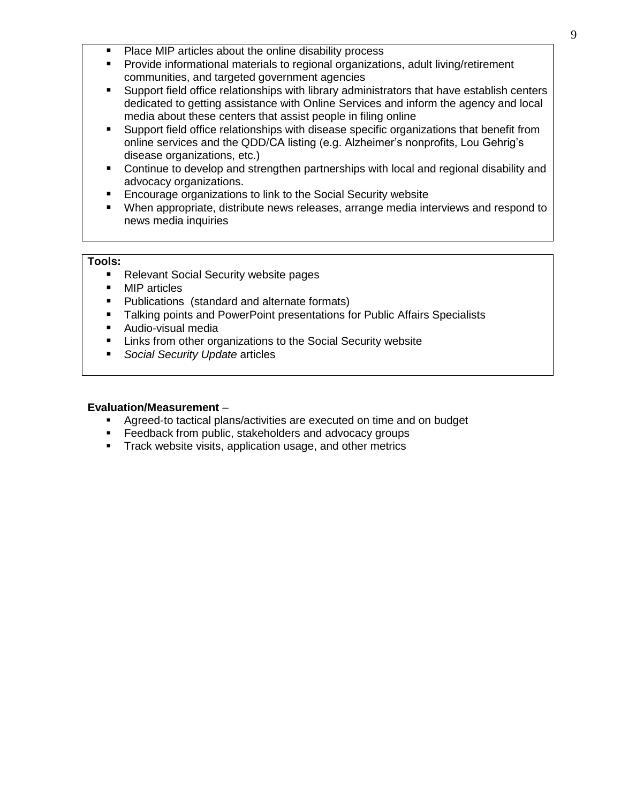- Place MIP articles about the online disability process
- Provide informational materials to regional organizations, adult living/retirement communities, and targeted government agencies
- Support field office relationships with library administrators that have establish centers dedicated to getting assistance with Online Services and inform the agency and local media about these centers that assist people in filing online
- Support field office relationships with disease specific organizations that benefit from online services and the QDD/CA listing (e.g. Alzheimer's nonprofits, Lou Gehrig's disease organizations, etc.)
- **Continue to develop and strengthen partnerships with local and regional disability and** advocacy organizations.
- **Encourage organizations to link to the Social Security website**
- When appropriate, distribute news releases, arrange media interviews and respond to news media inquiries

# **Tools:**

- Relevant Social Security website pages
- MIP articles
- **Publications (standard and alternate formats)**
- Talking points and PowerPoint presentations for Public Affairs Specialists
- **Audio-visual media**
- **EXECT** Links from other organizations to the Social Security website
- *Social Security Update* articles

- Agreed-to tactical plans/activities are executed on time and on budget
- **Feedback from public, stakeholders and advocacy groups**
- **Track website visits, application usage, and other metrics**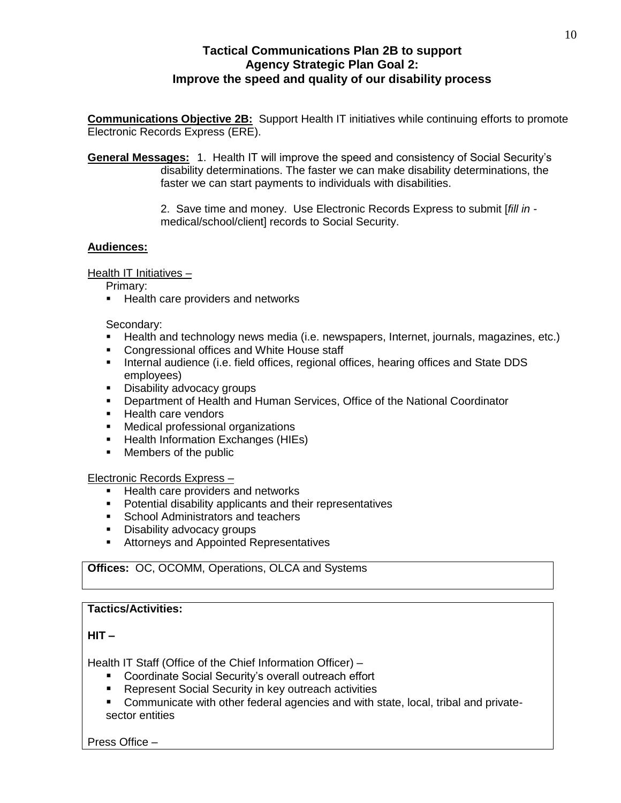# **Tactical Communications Plan 2B to support Agency Strategic Plan Goal 2: Improve the speed and quality of our disability process**

**Communications Objective 2B:** Support Health IT initiatives while continuing efforts to promote Electronic Records Express (ERE).

**General Messages:** 1. Health IT will improve the speed and consistency of Social Security's disability determinations. The faster we can make disability determinations, the faster we can start payments to individuals with disabilities.

> 2. Save time and money. Use Electronic Records Express to submit [*fill in*  medical/school/client] records to Social Security.

# **Audiences:**

Health IT Initiatives –

Primary:

**Health care providers and networks** 

Secondary:

- Health and technology news media (i.e. newspapers, Internet, journals, magazines, etc.)
- **Congressional offices and White House staff**
- **Internal audience (i.e. field offices, regional offices, hearing offices and State DDS** employees)
- **Disability advocacy groups**
- **Department of Health and Human Services, Office of the National Coordinator**
- **Health care vendors**
- **Medical professional organizations**
- **Health Information Exchanges (HIEs)**
- **Members of the public**

Electronic Records Express –

- **Health care providers and networks**
- **•** Potential disability applicants and their representatives
- **School Administrators and teachers**
- **Disability advocacy groups**
- **Attorneys and Appointed Representatives**

# **Offices:** OC, OCOMM, Operations, OLCA and Systems

# **Tactics/Activities:**

**HIT –**

Health IT Staff (Office of the Chief Information Officer) –

- Coordinate Social Security's overall outreach effort
- Represent Social Security in key outreach activities
- Communicate with other federal agencies and with state, local, tribal and privatesector entities

Press Office –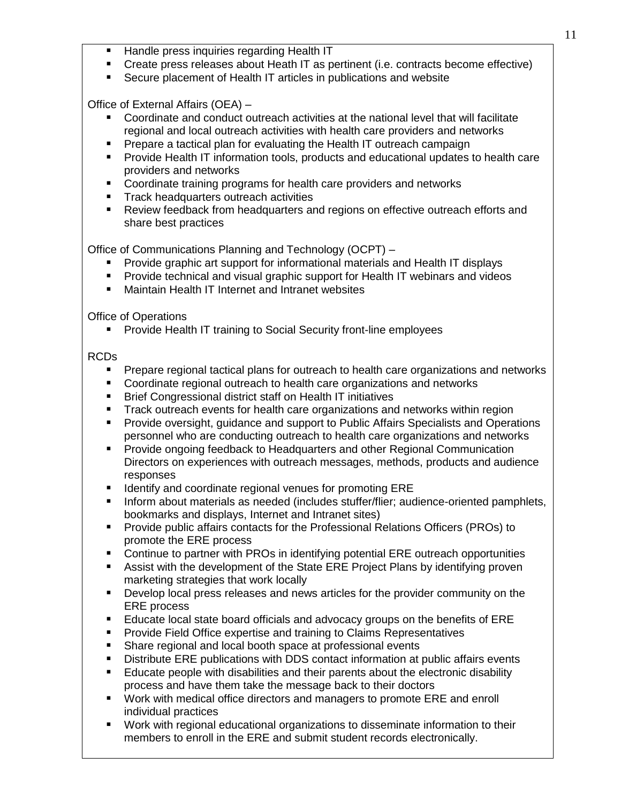- **Handle press inquiries regarding Health IT**
- Create press releases about Heath IT as pertinent (i.e. contracts become effective)
- Secure placement of Health IT articles in publications and website

Office of External Affairs (OEA) –

- Coordinate and conduct outreach activities at the national level that will facilitate regional and local outreach activities with health care providers and networks
- Prepare a tactical plan for evaluating the Health IT outreach campaign
- Provide Health IT information tools, products and educational updates to health care providers and networks
- Coordinate training programs for health care providers and networks
- Track headquarters outreach activities
- Review feedback from headquarters and regions on effective outreach efforts and share best practices

Office of Communications Planning and Technology (OCPT) –

- Provide graphic art support for informational materials and Health IT displays
- **Provide technical and visual graphic support for Health IT webinars and videos**
- Maintain Health IT Internet and Intranet websites

Office of Operations

**Provide Health IT training to Social Security front-line employees** 

# RCDs

- **Prepare regional tactical plans for outreach to health care organizations and networks**
- Coordinate regional outreach to health care organizations and networks
- Brief Congressional district staff on Health IT initiatives
- Track outreach events for health care organizations and networks within region
- Provide oversight, guidance and support to Public Affairs Specialists and Operations personnel who are conducting outreach to health care organizations and networks
- Provide ongoing feedback to Headquarters and other Regional Communication Directors on experiences with outreach messages, methods, products and audience responses
- Identify and coordinate regional venues for promoting ERE
- Inform about materials as needed (includes stuffer/flier; audience-oriented pamphlets, bookmarks and displays, Internet and Intranet sites)
- **Provide public affairs contacts for the Professional Relations Officers (PROs) to** promote the ERE process
- Continue to partner with PROs in identifying potential ERE outreach opportunities
- Assist with the development of the State ERE Project Plans by identifying proven marketing strategies that work locally
- Develop local press releases and news articles for the provider community on the ERE process
- Educate local state board officials and advocacy groups on the benefits of ERE
- **Provide Field Office expertise and training to Claims Representatives**
- Share regional and local booth space at professional events
- Distribute ERE publications with DDS contact information at public affairs events
- Educate people with disabilities and their parents about the electronic disability process and have them take the message back to their doctors
- Work with medical office directors and managers to promote ERE and enroll individual practices
- Work with regional educational organizations to disseminate information to their members to enroll in the ERE and submit student records electronically.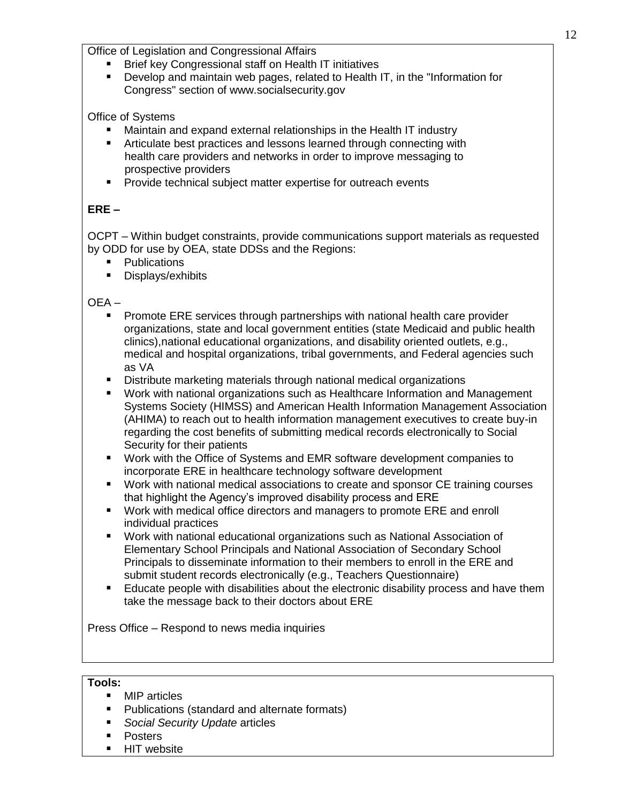Office of Legislation and Congressional Affairs

- Brief key Congressional staff on Health IT initiatives
- Develop and maintain web pages, related to Health IT, in the "Information for Congress" section of www.socialsecurity.gov

Office of Systems

- Maintain and expand external relationships in the Health IT industry
- **EXTERN Articulate best practices and lessons learned through connecting with**  health care providers and networks in order to improve messaging to prospective providers
- **Provide technical subject matter expertise for outreach events**

# **ERE –**

OCPT – Within budget constraints, provide communications support materials as requested by ODD for use by OEA, state DDSs and the Regions:

- **Publications**
- **Displays/exhibits**

OEA –

- Promote ERE services through partnerships with national health care provider organizations, state and local government entities (state Medicaid and public health clinics),national educational organizations, and disability oriented outlets, e.g., medical and hospital organizations, tribal governments, and Federal agencies such as VA
- Distribute marketing materials through national medical organizations
- Work with national organizations such as Healthcare Information and Management Systems Society (HIMSS) and American Health Information Management Association (AHIMA) to reach out to health information management executives to create buy-in regarding the cost benefits of submitting medical records electronically to Social Security for their patients
- Work with the Office of Systems and EMR software development companies to incorporate ERE in healthcare technology software development
- Work with national medical associations to create and sponsor CE training courses that highlight the Agency's improved disability process and ERE
- Work with medical office directors and managers to promote ERE and enroll individual practices
- Work with national educational organizations such as National Association of Elementary School Principals and National Association of Secondary School Principals to disseminate information to their members to enroll in the ERE and submit student records electronically (e.g., Teachers Questionnaire)
- **E** Educate people with disabilities about the electronic disability process and have them take the message back to their doctors about ERE

Press Office – Respond to news media inquiries

# **Tools:**

- MIP articles
- Publications (standard and alternate formats)
- *Social Security Update* articles
- **Posters**
- **HIT website**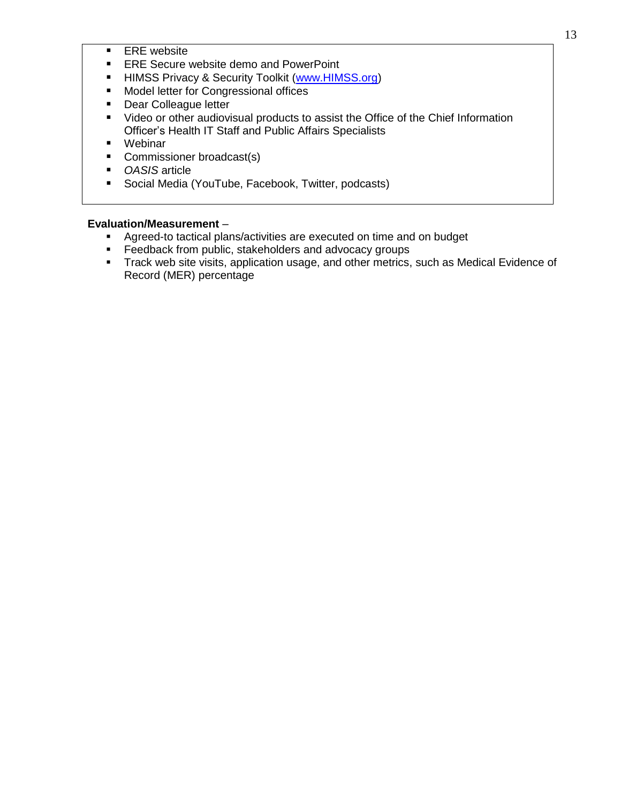- **ERE** website
- **ERE Secure website demo and PowerPoint**
- **HIMSS Privacy & Security Toolkit [\(www.HIMSS.org\)](http://www.himss.org/)**
- **Model letter for Congressional offices**
- **Dear Colleague letter**
- **Uideo or other audiovisual products to assist the Office of the Chief Information** Officer's Health IT Staff and Public Affairs Specialists
- Webinar
- **Commissioner broadcast(s)**
- *OASIS* article
- **Social Media (YouTube, Facebook, Twitter, podcasts)**

- Agreed-to tactical plans/activities are executed on time and on budget
- **Feedback from public, stakeholders and advocacy groups**
- **Track web site visits, application usage, and other metrics, such as Medical Evidence of** Record (MER) percentage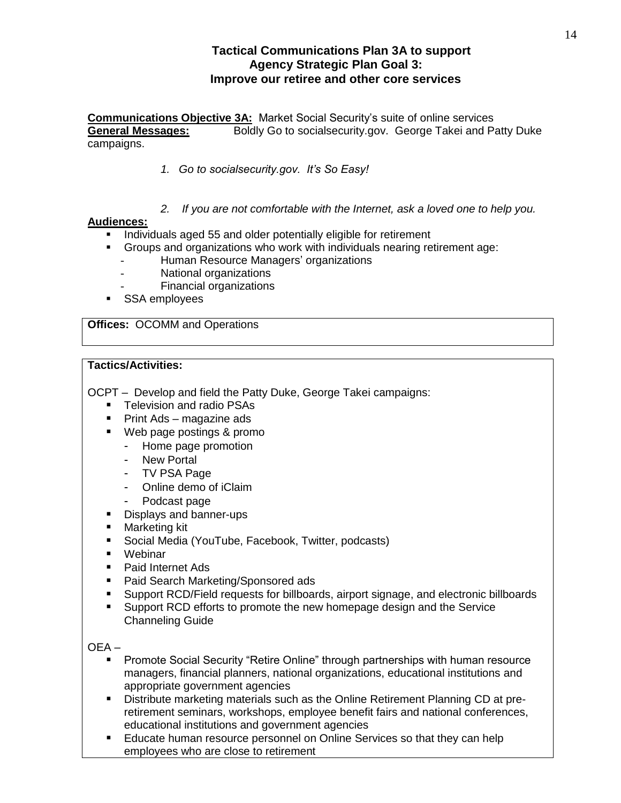# **Tactical Communications Plan 3A to support Agency Strategic Plan Goal 3: Improve our retiree and other core services**

**Communications Objective 3A:** Market Social Security's suite of online services **General Messages:** Boldly Go to socialsecurity.gov. George Takei and Patty Duke campaigns.

- *1. Go to socialsecurity.gov. It's So Easy!*
- *2. If you are not comfortable with the Internet, ask a loved one to help you.*

# **Audiences:**

- **Individuals aged 55 and older potentially eligible for retirement**
- Groups and organizations who work with individuals nearing retirement age:
	- Human Resource Managers' organizations
	- National organizations
	- Financial organizations
- **SSA employees**

**Offices:** OCOMM and Operations

#### **Tactics/Activities:**

OCPT – Develop and field the Patty Duke, George Takei campaigns:

- Television and radio PSAs
- Print Ads magazine ads
- Web page postings & promo
	- Home page promotion
	- New Portal
	- TV PSA Page
	- Online demo of iClaim
	- Podcast page
- Displays and banner-ups
- Marketing kit
- Social Media (YouTube, Facebook, Twitter, podcasts)
- Webinar
- Paid Internet Ads
- Paid Search Marketing/Sponsored ads
- Support RCD/Field requests for billboards, airport signage, and electronic billboards
- Support RCD efforts to promote the new homepage design and the Service Channeling Guide

# OEA –

- **Promote Social Security "Retire Online" through partnerships with human resource** managers, financial planners, national organizations, educational institutions and appropriate government agencies
- Distribute marketing materials such as the Online Retirement Planning CD at preretirement seminars, workshops, employee benefit fairs and national conferences, educational institutions and government agencies
- **Educate human resource personnel on Online Services so that they can help** employees who are close to retirement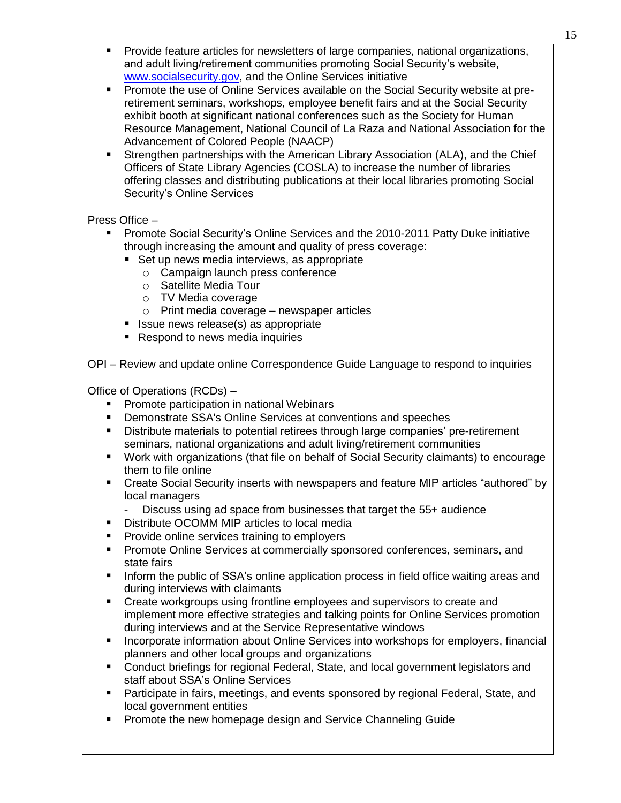- Provide feature articles for newsletters of large companies, national organizations, and adult living/retirement communities promoting Social Security's website, [www.socialsecurity.gov,](http://www.socialsecurity.gov/) and the Online Services initiative
- Promote the use of Online Services available on the Social Security website at preretirement seminars, workshops, employee benefit fairs and at the Social Security exhibit booth at significant national conferences such as the Society for Human Resource Management, National Council of La Raza and National Association for the Advancement of Colored People (NAACP)
- Strengthen partnerships with the American Library Association (ALA), and the Chief Officers of State Library Agencies (COSLA) to increase the number of libraries offering classes and distributing publications at their local libraries promoting Social Security's Online Services

# Press Office –

- Promote Social Security's Online Services and the 2010-2011 Patty Duke initiative through increasing the amount and quality of press coverage:
	- Set up news media interviews, as appropriate
		- o Campaign launch press conference
		- o Satellite Media Tour
		- o TV Media coverage
		- o Print media coverage newspaper articles
	- Issue news release(s) as appropriate
	- Respond to news media inquiries

OPI – Review and update online Correspondence Guide Language to respond to inquiries

Office of Operations (RCDs) –

- **Promote participation in national Webinars**
- Demonstrate SSA's Online Services at conventions and speeches
- Distribute materials to potential retirees through large companies' pre-retirement seminars, national organizations and adult living/retirement communities
- Work with organizations (that file on behalf of Social Security claimants) to encourage them to file online
- Create Social Security inserts with newspapers and feature MIP articles "authored" by local managers
	- Discuss using ad space from businesses that target the 55+ audience
- **Distribute OCOMM MIP articles to local media**
- Provide online services training to employers
- Promote Online Services at commercially sponsored conferences, seminars, and state fairs
- **Inform the public of SSA's online application process in field office waiting areas and** during interviews with claimants
- Create workgroups using frontline employees and supervisors to create and implement more effective strategies and talking points for Online Services promotion during interviews and at the Service Representative windows
- Incorporate information about Online Services into workshops for employers, financial planners and other local groups and organizations
- Conduct briefings for regional Federal, State, and local government legislators and staff about SSA's Online Services
- Participate in fairs, meetings, and events sponsored by regional Federal, State, and local government entities
- **Promote the new homepage design and Service Channeling Guide**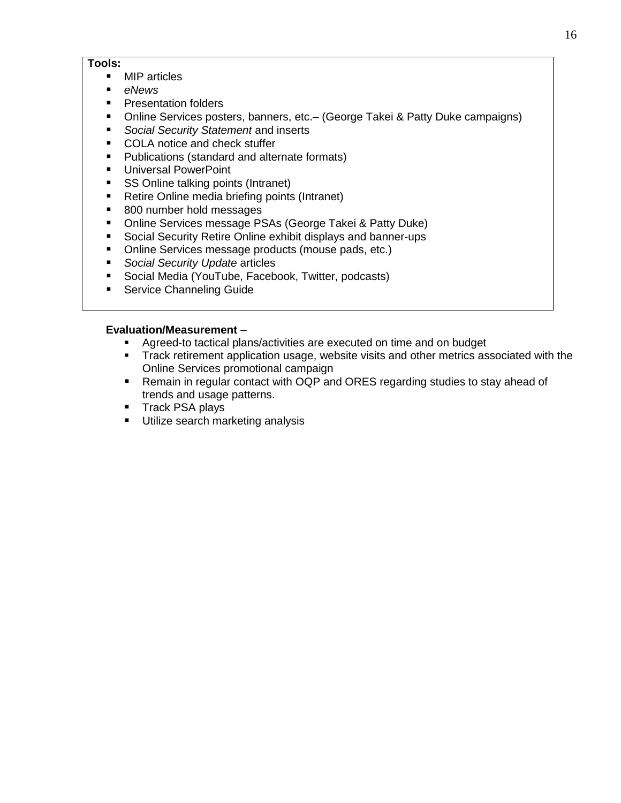# **Tools:**

- MIP articles
- *eNews*
- **Presentation folders**
- Online Services posters, banners, etc. (George Takei & Patty Duke campaigns)
- *Social Security Statement* and inserts
- COLA notice and check stuffer
- **Publications (standard and alternate formats)**
- **Universal PowerPoint**
- SS Online talking points (Intranet)
- Retire Online media briefing points (Intranet)
- 800 number hold messages
- **Online Services message PSAs (George Takei & Patty Duke)**
- **Social Security Retire Online exhibit displays and banner-ups**
- **Diance Services message products (mouse pads, etc.)**
- *Social Security Update* articles
- **Social Media (YouTube, Facebook, Twitter, podcasts)**
- **Service Channeling Guide**

- Agreed-to tactical plans/activities are executed on time and on budget
- Track retirement application usage, website visits and other metrics associated with the Online Services promotional campaign
- Remain in regular contact with OQP and ORES regarding studies to stay ahead of trends and usage patterns.
- **Track PSA plays**
- **Utilize search marketing analysis**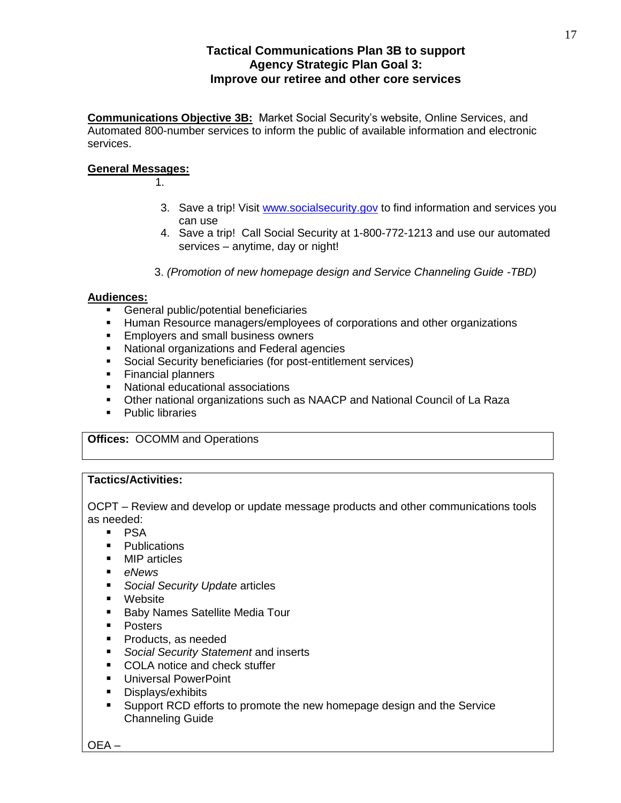# **Tactical Communications Plan 3B to support Agency Strategic Plan Goal 3: Improve our retiree and other core services**

**Communications Objective 3B:** Market Social Security's website, Online Services, and Automated 800-number services to inform the public of available information and electronic services.

#### **General Messages:**

1.

- 3. Save a trip! Visit [www.socialsecurity.gov](http://www.socialsecurity.gov/) to find information and services you can use
- 4. Save a trip! Call Social Security at 1-800-772-1213 and use our automated services – anytime, day or night!
- 3. *(Promotion of new homepage design and Service Channeling Guide -TBD)*

#### **Audiences:**

- **General public/potential beneficiaries**
- **Human Resource managers/employees of corporations and other organizations**
- **Employers and small business owners**
- **National organizations and Federal agencies**
- Social Security beneficiaries (for post-entitlement services)
- **Financial planners**
- National educational associations
- Other national organizations such as NAACP and National Council of La Raza
- Public libraries

**Offices:** OCOMM and Operations

# **Tactics/Activities:**

OCPT – Review and develop or update message products and other communications tools as needed:

- $\blacksquare$  PSA
- Publications
- MIP articles
- *eNews*
- *Social Security Update* articles
- Website
- **Baby Names Satellite Media Tour**
- **Posters**
- Products, as needed
- *Social Security Statement* and inserts
- COLA notice and check stuffer
- **Universal PowerPoint**
- **Displays/exhibits**
- Support RCD efforts to promote the new homepage design and the Service Channeling Guide

OEA –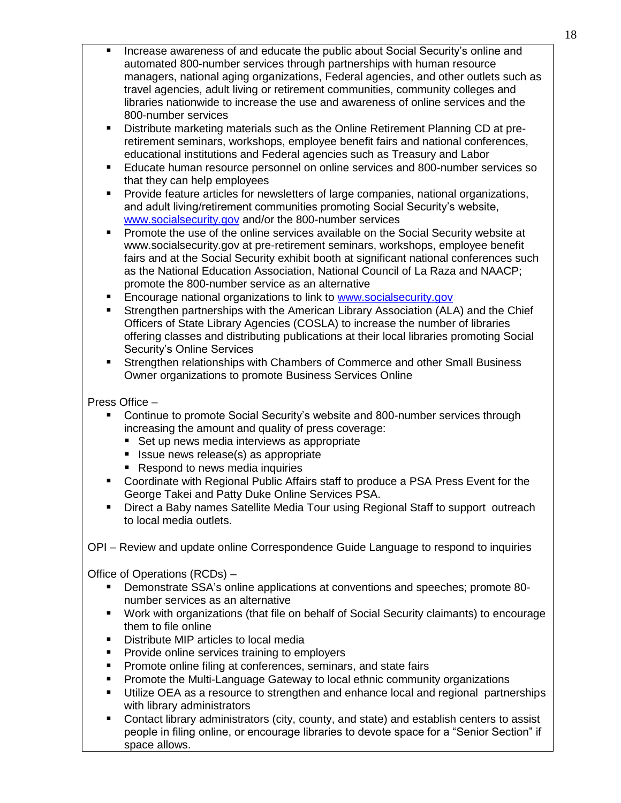- Increase awareness of and educate the public about Social Security's online and automated 800-number services through partnerships with human resource managers, national aging organizations, Federal agencies, and other outlets such as travel agencies, adult living or retirement communities, community colleges and libraries nationwide to increase the use and awareness of online services and the 800-number services
- Distribute marketing materials such as the Online Retirement Planning CD at preretirement seminars, workshops, employee benefit fairs and national conferences, educational institutions and Federal agencies such as Treasury and Labor
- Educate human resource personnel on online services and 800-number services so that they can help employees
- Provide feature articles for newsletters of large companies, national organizations, and adult living/retirement communities promoting Social Security's website, [www.socialsecurity.gov](http://www.socialsecurity.gov/) and/or the 800-number services
- **Promote the use of the online services available on the Social Security website at** www.socialsecurity.gov at pre-retirement seminars, workshops, employee benefit fairs and at the Social Security exhibit booth at significant national conferences such as the National Education Association, National Council of La Raza and NAACP; promote the 800-number service as an alternative
- Encourage national organizations to link to [www.socialsecurity.gov](http://www.socialsecurity.gov/)
- Strengthen partnerships with the American Library Association (ALA) and the Chief Officers of State Library Agencies (COSLA) to increase the number of libraries offering classes and distributing publications at their local libraries promoting Social Security's Online Services
- Strengthen relationships with Chambers of Commerce and other Small Business Owner organizations to promote Business Services Online

# Press Office –

- Continue to promote Social Security's website and 800-number services through increasing the amount and quality of press coverage:
	- Set up news media interviews as appropriate
	- **I** Issue news release(s) as appropriate
	- Respond to news media inquiries
- Coordinate with Regional Public Affairs staff to produce a PSA Press Event for the George Takei and Patty Duke Online Services PSA.
- Direct a Baby names Satellite Media Tour using Regional Staff to support outreach to local media outlets.

OPI – Review and update online Correspondence Guide Language to respond to inquiries

Office of Operations (RCDs) –

- Demonstrate SSA's online applications at conventions and speeches; promote 80 number services as an alternative
- Work with organizations (that file on behalf of Social Security claimants) to encourage them to file online
- **Distribute MIP articles to local media**
- **Provide online services training to employers**
- **Promote online filing at conferences, seminars, and state fairs**
- Promote the Multi-Language Gateway to local ethnic community organizations
- Utilize OEA as a resource to strengthen and enhance local and regional partnerships with library administrators
- Contact library administrators (city, county, and state) and establish centers to assist people in filing online, or encourage libraries to devote space for a "Senior Section" if space allows.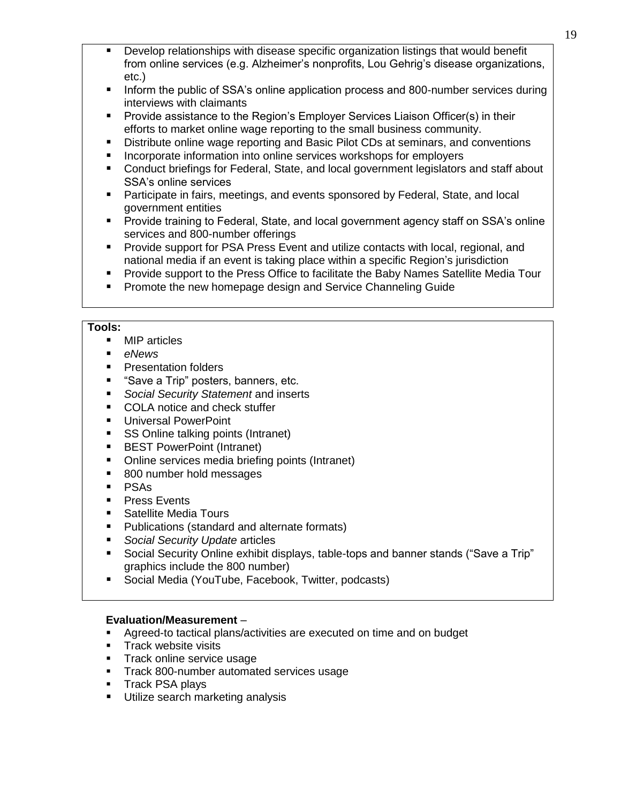- Develop relationships with disease specific organization listings that would benefit from online services (e.g. Alzheimer's nonprofits, Lou Gehrig's disease organizations, etc.)
- Inform the public of SSA's online application process and 800-number services during interviews with claimants
- **Provide assistance to the Region's Employer Services Liaison Officer(s) in their** efforts to market online wage reporting to the small business community.
- Distribute online wage reporting and Basic Pilot CDs at seminars, and conventions
- Incorporate information into online services workshops for employers
- Conduct briefings for Federal, State, and local government legislators and staff about SSA's online services
- Participate in fairs, meetings, and events sponsored by Federal, State, and local government entities
- Provide training to Federal, State, and local government agency staff on SSA's online services and 800-number offerings
- **Provide support for PSA Press Event and utilize contacts with local, regional, and** national media if an event is taking place within a specific Region's jurisdiction
- Provide support to the Press Office to facilitate the Baby Names Satellite Media Tour
- Promote the new homepage design and Service Channeling Guide

# **Tools:**

- **MIP** articles
- *eNews*
- **Presentation folders**
- "Save a Trip" posters, banners, etc.
- *Social Security Statement* and inserts
- COLA notice and check stuffer
- **Universal PowerPoint**
- SS Online talking points (Intranet)
- **BEST PowerPoint (Intranet)**
- Online services media briefing points (Intranet)
- 800 number hold messages
- **PSAs**
- **Press Events**
- Satellite Media Tours
- **Publications (standard and alternate formats)**
- *Social Security Update* articles
- Social Security Online exhibit displays, table-tops and banner stands ("Save a Trip" graphics include the 800 number)
- Social Media (YouTube, Facebook, Twitter, podcasts)

- Agreed-to tactical plans/activities are executed on time and on budget
- **Track website visits**
- Track online service usage
- **Track 800-number automated services usage**
- **Track PSA plays**
- **Utilize search marketing analysis**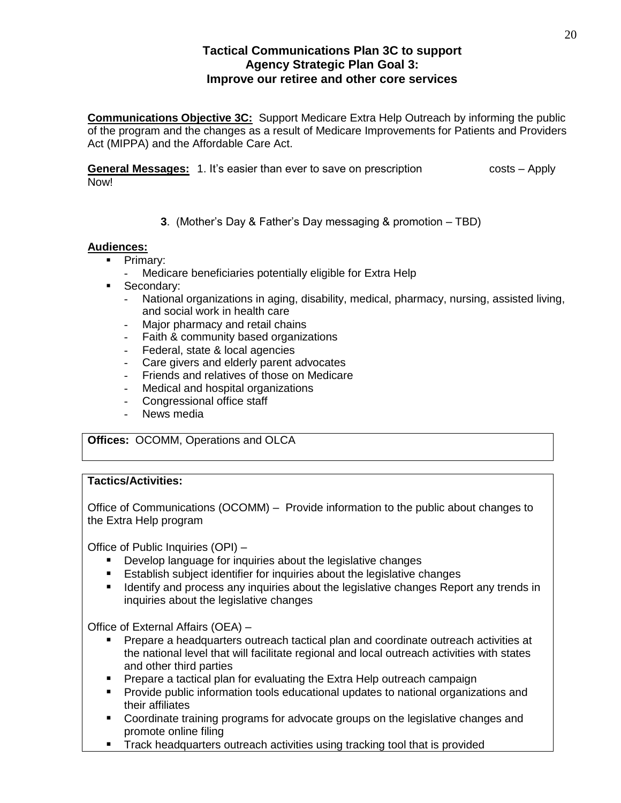# **Tactical Communications Plan 3C to support Agency Strategic Plan Goal 3: Improve our retiree and other core services**

**Communications Objective 3C:** Support Medicare Extra Help Outreach by informing the public of the program and the changes as a result of Medicare Improvements for Patients and Providers Act (MIPPA) and the Affordable Care Act.

**General Messages:** 1. It's easier than ever to save on prescription costs – Apply Now!

**3**. (Mother's Day & Father's Day messaging & promotion – TBD)

# **Audiences:**

- $\overline{\phantom{a}}$  Primary:
	- Medicare beneficiaries potentially eligible for Extra Help
- Secondary:
	- National organizations in aging, disability, medical, pharmacy, nursing, assisted living, and social work in health care
	- Major pharmacy and retail chains
	- Faith & community based organizations
	- Federal, state & local agencies
	- Care givers and elderly parent advocates
	- Friends and relatives of those on Medicare
	- Medical and hospital organizations
	- Congressional office staff
	- News media

**Offices:** OCOMM, Operations and OLCA

# **Tactics/Activities:**

Office of Communications (OCOMM) – Provide information to the public about changes to the Extra Help program

Office of Public Inquiries (OPI) –

- **Develop language for inquiries about the legislative changes**
- Establish subject identifier for inquiries about the legislative changes
- **IDENTIFY 19 IDENTIFY And process any inquiries about the legislative changes Report any trends in** inquiries about the legislative changes

Office of External Affairs (OEA) –

- **Prepare a headquarters outreach tactical plan and coordinate outreach activities at** the national level that will facilitate regional and local outreach activities with states and other third parties
- **Prepare a tactical plan for evaluating the Extra Help outreach campaign**
- Provide public information tools educational updates to national organizations and their affiliates
- **Coordinate training programs for advocate groups on the legislative changes and** promote online filing
- **Track headquarters outreach activities using tracking tool that is provided**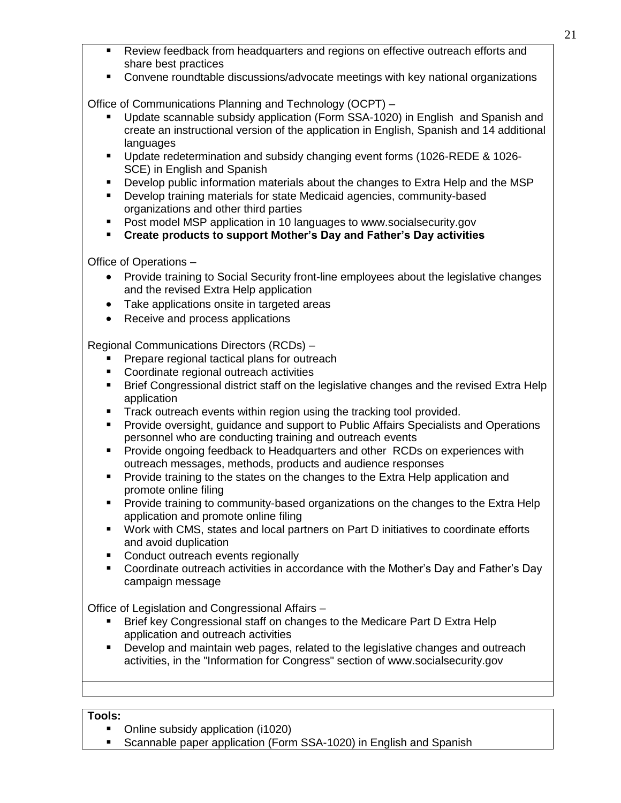- 21
- Review feedback from headquarters and regions on effective outreach efforts and share best practices
- Convene roundtable discussions/advocate meetings with key national organizations

Office of Communications Planning and Technology (OCPT) –

- Update scannable subsidy application (Form SSA-1020) in English and Spanish and create an instructional version of the application in English, Spanish and 14 additional languages
- Update redetermination and subsidy changing event forms (1026-REDE & 1026- SCE) in English and Spanish
- **Develop public information materials about the changes to Extra Help and the MSP**
- Develop training materials for state Medicaid agencies, community-based organizations and other third parties
- Post model MSP application in 10 languages to www.socialsecurity.gov
- **Create products to support Mother's Day and Father's Day activities**

Office of Operations –

- Provide training to Social Security front-line employees about the legislative changes and the revised Extra Help application
- Take applications onsite in targeted areas
- Receive and process applications

Regional Communications Directors (RCDs) –

- Prepare regional tactical plans for outreach
- **Coordinate regional outreach activities**
- **Brief Congressional district staff on the legislative changes and the revised Extra Help** application
- Track outreach events within region using the tracking tool provided.
- Provide oversight, guidance and support to Public Affairs Specialists and Operations personnel who are conducting training and outreach events
- **Provide ongoing feedback to Headquarters and other RCDs on experiences with** outreach messages, methods, products and audience responses
- **Provide training to the states on the changes to the Extra Help application and** promote online filing
- **Provide training to community-based organizations on the changes to the Extra Help** application and promote online filing
- Work with CMS, states and local partners on Part D initiatives to coordinate efforts and avoid duplication
- **Conduct outreach events regionally**
- **Coordinate outreach activities in accordance with the Mother's Day and Father's Day** campaign message

Office of Legislation and Congressional Affairs –

- Brief key Congressional staff on changes to the Medicare Part D Extra Help application and outreach activities
- Develop and maintain web pages, related to the legislative changes and outreach activities, in the "Information for Congress" section of www.socialsecurity.gov

# **Tools:**

- Online subsidy application (i1020)
- Scannable paper application (Form SSA-1020) in English and Spanish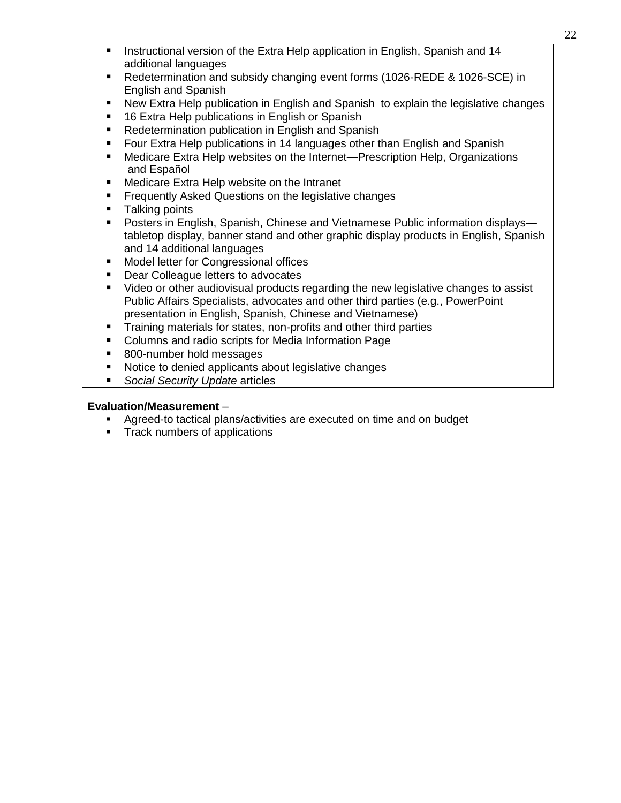- Instructional version of the Extra Help application in English, Spanish and 14 additional languages
- Redetermination and subsidy changing event forms (1026-REDE & 1026-SCE) in English and Spanish
- New Extra Help publication in English and Spanish to explain the legislative changes
- 16 Extra Help publications in English or Spanish
- Redetermination publication in English and Spanish
- Four Extra Help publications in 14 languages other than English and Spanish
- Medicare Extra Help websites on the Internet—Prescription Help, Organizations and Español
- Medicare Extra Help website on the Intranet
- Frequently Asked Questions on the legislative changes
- Talking points
- Posters in English, Spanish, Chinese and Vietnamese Public information displays tabletop display, banner stand and other graphic display products in English, Spanish and 14 additional languages
- Model letter for Congressional offices
- Dear Colleague letters to advocates
- Video or other audiovisual products regarding the new legislative changes to assist Public Affairs Specialists, advocates and other third parties (e.g., PowerPoint presentation in English, Spanish, Chinese and Vietnamese)
- Training materials for states, non-profits and other third parties
- Columns and radio scripts for Media Information Page
- 800-number hold messages
- Notice to denied applicants about legislative changes
- *Social Security Update* articles

- Agreed-to tactical plans/activities are executed on time and on budget
- **Track numbers of applications**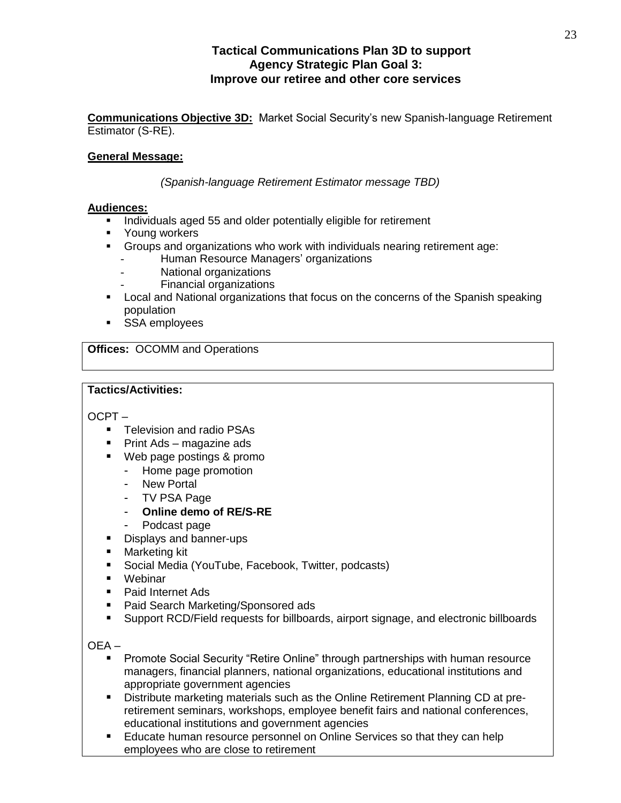# **Tactical Communications Plan 3D to support Agency Strategic Plan Goal 3: Improve our retiree and other core services**

**Communications Objective 3D:** Market Social Security's new Spanish-language Retirement Estimator (S-RE).

# **General Message:**

*(Spanish-language Retirement Estimator message TBD)*

# **Audiences:**

- Individuals aged 55 and older potentially eligible for retirement
- **•** Young workers
- Groups and organizations who work with individuals nearing retirement age:
	- Human Resource Managers' organizations
	- National organizations
	- Financial organizations
- Local and National organizations that focus on the concerns of the Spanish speaking population
- **SSA employees**

**Offices:** OCOMM and Operations

# **Tactics/Activities:**

OCPT –

- **Television and radio PSAs**
- Print Ads magazine ads
- Web page postings & promo
	- Home page promotion
	- New Portal
	- TV PSA Page
	- **Online demo of RE/S-RE**
	- Podcast page
- **Displays and banner-ups**
- **Marketing kit**
- Social Media (YouTube, Facebook, Twitter, podcasts)
- Webinar
- Paid Internet Ads
- Paid Search Marketing/Sponsored ads
- **Support RCD/Field requests for billboards, airport signage, and electronic billboards**

OEA –

- Promote Social Security "Retire Online" through partnerships with human resource managers, financial planners, national organizations, educational institutions and appropriate government agencies
- Distribute marketing materials such as the Online Retirement Planning CD at preretirement seminars, workshops, employee benefit fairs and national conferences, educational institutions and government agencies
- Educate human resource personnel on Online Services so that they can help employees who are close to retirement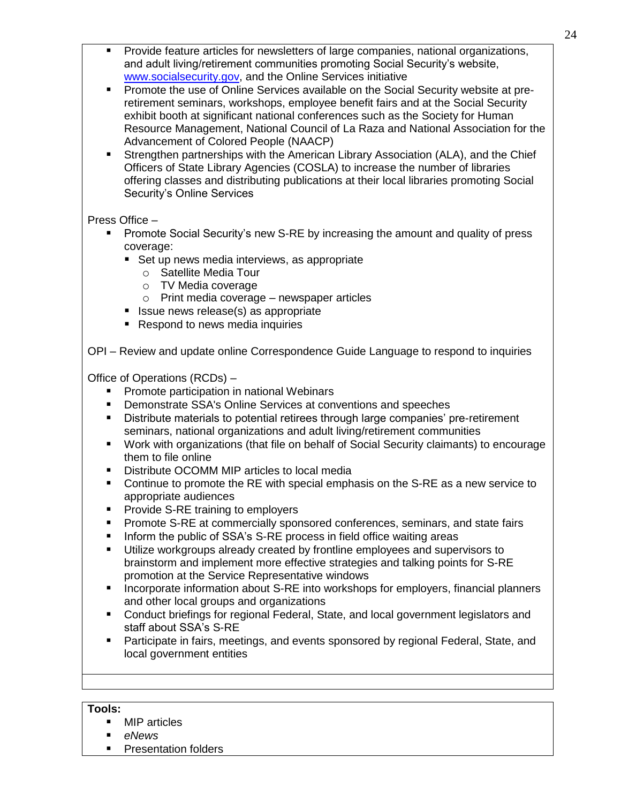- Provide feature articles for newsletters of large companies, national organizations, and adult living/retirement communities promoting Social Security's website, [www.socialsecurity.gov,](http://www.socialsecurity.gov/) and the Online Services initiative
- Promote the use of Online Services available on the Social Security website at preretirement seminars, workshops, employee benefit fairs and at the Social Security exhibit booth at significant national conferences such as the Society for Human Resource Management, National Council of La Raza and National Association for the Advancement of Colored People (NAACP)
- Strengthen partnerships with the American Library Association (ALA), and the Chief Officers of State Library Agencies (COSLA) to increase the number of libraries offering classes and distributing publications at their local libraries promoting Social Security's Online Services

Press Office –

- Promote Social Security's new S-RE by increasing the amount and quality of press coverage:
	- Set up news media interviews, as appropriate
		- o Satellite Media Tour
		- o TV Media coverage
		- $\circ$  Print media coverage newspaper articles
	- $\blacksquare$  Issue news release(s) as appropriate
	- Respond to news media inquiries

OPI – Review and update online Correspondence Guide Language to respond to inquiries

Office of Operations (RCDs) –

- **Promote participation in national Webinars**
- **Demonstrate SSA's Online Services at conventions and speeches**
- **Distribute materials to potential retirees through large companies' pre-retirement** seminars, national organizations and adult living/retirement communities
- Work with organizations (that file on behalf of Social Security claimants) to encourage them to file online
- Distribute OCOMM MIP articles to local media
- Continue to promote the RE with special emphasis on the S-RE as a new service to appropriate audiences
- **Provide S-RE training to employers**
- **Promote S-RE at commercially sponsored conferences, seminars, and state fairs**
- Inform the public of SSA's S-RE process in field office waiting areas
- Utilize workgroups already created by frontline employees and supervisors to brainstorm and implement more effective strategies and talking points for S-RE promotion at the Service Representative windows
- **Incorporate information about S-RE into workshops for employers, financial planners** and other local groups and organizations
- Conduct briefings for regional Federal, State, and local government legislators and staff about SSA's S-RE
- Participate in fairs, meetings, and events sponsored by regional Federal, State, and local government entities

# **Tools:**

- MIP articles
- *eNews*
- **Presentation folders**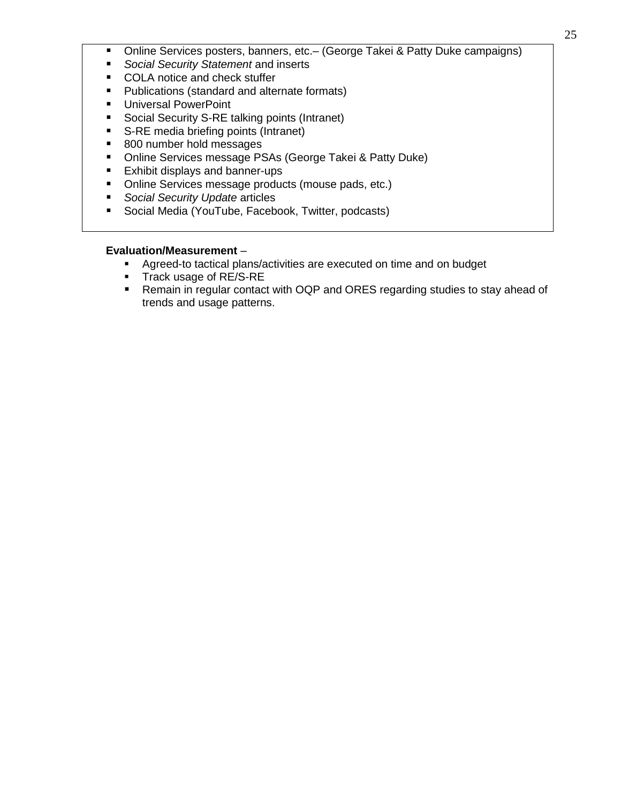- Online Services posters, banners, etc. (George Takei & Patty Duke campaigns)
- *Social Security Statement* and inserts
- COLA notice and check stuffer
- **Publications (standard and alternate formats)**
- **Universal PowerPoint**
- **Social Security S-RE talking points (Intranet)**
- S-RE media briefing points (Intranet)
- 800 number hold messages
- **Dinime Services message PSAs (George Takei & Patty Duke)**
- **Exhibit displays and banner-ups**
- Online Services message products (mouse pads, etc.)
- *Social Security Update* articles
- **Social Media (YouTube, Facebook, Twitter, podcasts)**

- **Agreed-to tactical plans/activities are executed on time and on budget** 
	- **Track usage of RE/S-RE**
- Remain in regular contact with OQP and ORES regarding studies to stay ahead of trends and usage patterns.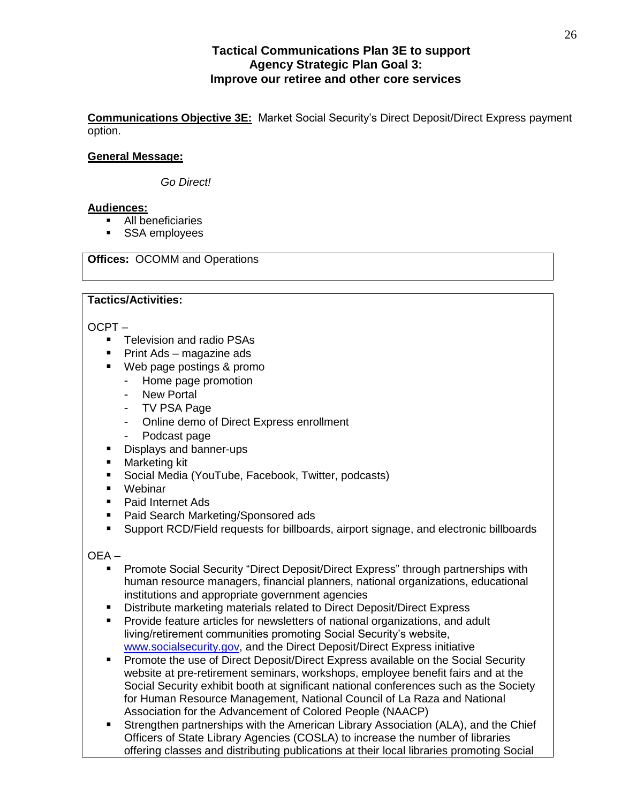# **Tactical Communications Plan 3E to support Agency Strategic Plan Goal 3: Improve our retiree and other core services**

**Communications Objective 3E:** Market Social Security's Direct Deposit/Direct Express payment option.

# **General Message:**

*Go Direct!*

#### **Audiences:**

- All beneficiaries
- **SSA employees**

# **Offices:** OCOMM and Operations

#### **Tactics/Activities:**

OCPT –

- **Television and radio PSAs**
- Print Ads magazine ads
- Web page postings & promo
	- Home page promotion
	- New Portal
	- TV PSA Page
	- Online demo of Direct Express enrollment
	- Podcast page
- Displays and banner-ups
- **Marketing kit**
- Social Media (YouTube, Facebook, Twitter, podcasts)
- Webinar
- Paid Internet Ads
- Paid Search Marketing/Sponsored ads
- **Support RCD/Field requests for billboards, airport signage, and electronic billboards**

OEA –

- **Promote Social Security "Direct Deposit/Direct Express" through partnerships with** human resource managers, financial planners, national organizations, educational institutions and appropriate government agencies
- Distribute marketing materials related to Direct Deposit/Direct Express
- **Provide feature articles for newsletters of national organizations, and adult** living/retirement communities promoting Social Security's website, [www.socialsecurity.gov,](http://www.socialsecurity.gov/) and the Direct Deposit/Direct Express initiative
- **Promote the use of Direct Deposit/Direct Express available on the Social Security** website at pre-retirement seminars, workshops, employee benefit fairs and at the Social Security exhibit booth at significant national conferences such as the Society for Human Resource Management, National Council of La Raza and National Association for the Advancement of Colored People (NAACP)
- Strengthen partnerships with the American Library Association (ALA), and the Chief Officers of State Library Agencies (COSLA) to increase the number of libraries offering classes and distributing publications at their local libraries promoting Social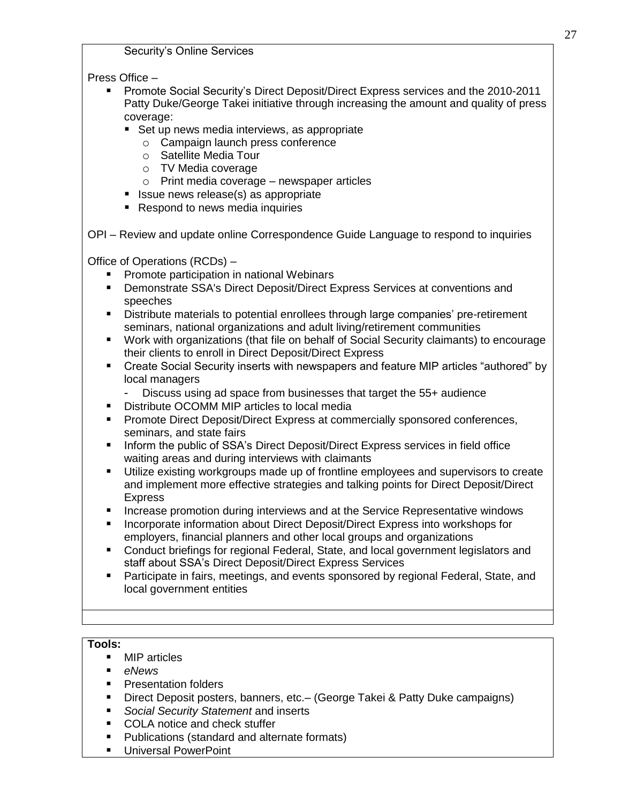Security's Online Services

Press Office –

- Promote Social Security's Direct Deposit/Direct Express services and the 2010-2011 Patty Duke/George Takei initiative through increasing the amount and quality of press coverage:
	- Set up news media interviews, as appropriate
		- o Campaign launch press conference
		- o Satellite Media Tour
		- o TV Media coverage
		- o Print media coverage newspaper articles
	- $\blacksquare$  Issue news release(s) as appropriate
	- Respond to news media inquiries

OPI – Review and update online Correspondence Guide Language to respond to inquiries

Office of Operations (RCDs) –

- **Promote participation in national Webinars**
- Demonstrate SSA's Direct Deposit/Direct Express Services at conventions and speeches
- Distribute materials to potential enrollees through large companies' pre-retirement seminars, national organizations and adult living/retirement communities
- Work with organizations (that file on behalf of Social Security claimants) to encourage their clients to enroll in Direct Deposit/Direct Express
- Create Social Security inserts with newspapers and feature MIP articles "authored" by local managers
	- Discuss using ad space from businesses that target the 55+ audience
- **Distribute OCOMM MIP articles to local media**
- **Promote Direct Deposit/Direct Express at commercially sponsored conferences,** seminars, and state fairs
- **Inform the public of SSA's Direct Deposit/Direct Express services in field office** waiting areas and during interviews with claimants
- Utilize existing workgroups made up of frontline employees and supervisors to create and implement more effective strategies and talking points for Direct Deposit/Direct Express
- Increase promotion during interviews and at the Service Representative windows
- **Incorporate information about Direct Deposit/Direct Express into workshops for** employers, financial planners and other local groups and organizations
- Conduct briefings for regional Federal, State, and local government legislators and staff about SSA's Direct Deposit/Direct Express Services
- Participate in fairs, meetings, and events sponsored by regional Federal, State, and local government entities

# **Tools:**

- MIP articles
- *eNews*
- **Presentation folders**
- Direct Deposit posters, banners, etc.– (George Takei & Patty Duke campaigns)
- *Social Security Statement* and inserts
- COLA notice and check stuffer
- **Publications (standard and alternate formats)**
- **Universal PowerPoint**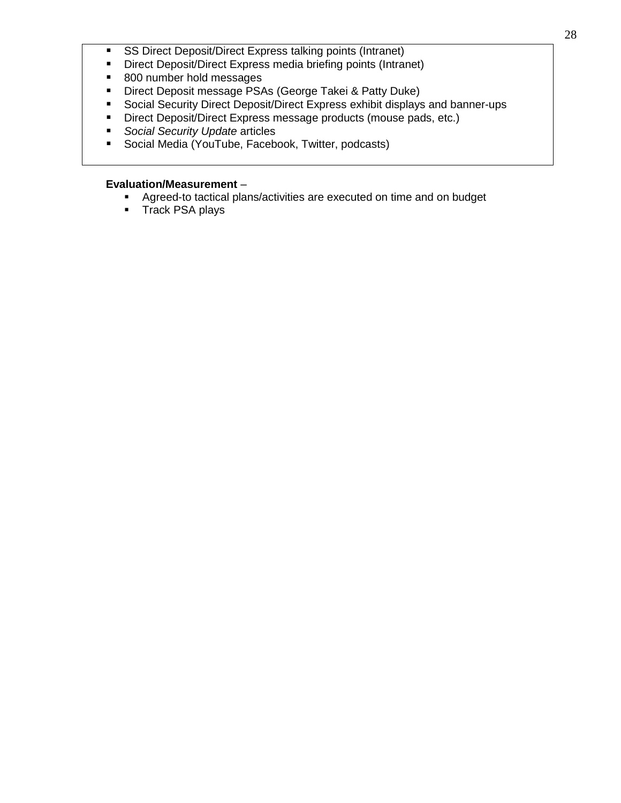- **SS Direct Deposit/Direct Express talking points (Intranet)**
- **Direct Deposit/Direct Express media briefing points (Intranet)**
- 800 number hold messages
- **Direct Deposit message PSAs (George Takei & Patty Duke)**
- Social Security Direct Deposit/Direct Express exhibit displays and banner-ups
- Direct Deposit/Direct Express message products (mouse pads, etc.)
- *Social Security Update* articles
- **Social Media (YouTube, Facebook, Twitter, podcasts)**

- Agreed-to tactical plans/activities are executed on time and on budget
- **Track PSA plays**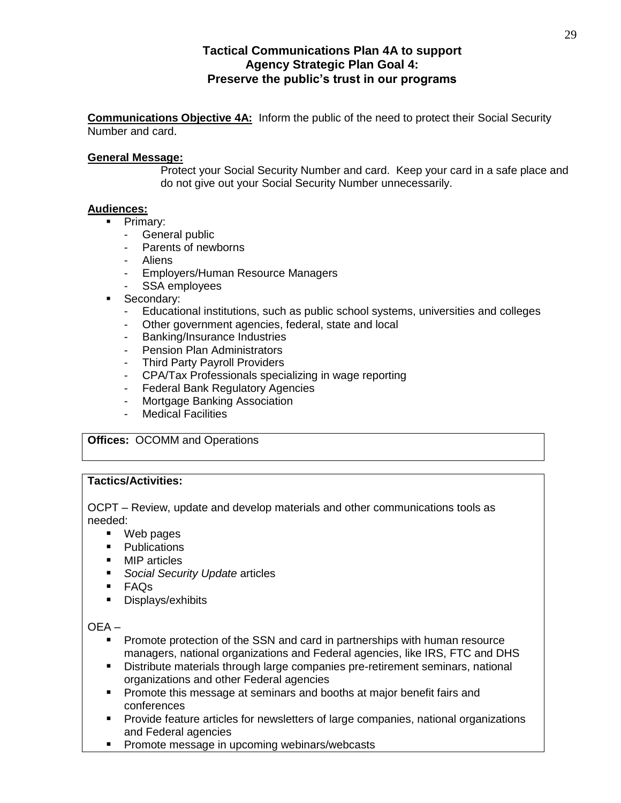# **Tactical Communications Plan 4A to support Agency Strategic Plan Goal 4: Preserve the public's trust in our programs**

**Communications Objective 4A:** Inform the public of the need to protect their Social Security Number and card.

#### **General Message:**

Protect your Social Security Number and card. Keep your card in a safe place and do not give out your Social Security Number unnecessarily.

#### **Audiences:**

- **Primary:** 
	- General public
	- Parents of newborns
	- Aliens
	- Employers/Human Resource Managers
	- SSA employees
- **Secondary:** 
	- Educational institutions, such as public school systems, universities and colleges
	- Other government agencies, federal, state and local
	- Banking/Insurance Industries
	- Pension Plan Administrators
	- Third Party Payroll Providers
	- CPA/Tax Professionals specializing in wage reporting
	- Federal Bank Regulatory Agencies
	- Mortgage Banking Association
	- Medical Facilities

**Offices:** OCOMM and Operations

#### **Tactics/Activities:**

OCPT – Review, update and develop materials and other communications tools as needed:

- Web pages
- Publications
- MIP articles
- **Social Security Update articles**
- FAQs
- Displays/exhibits

#### OEA –

- **Promote protection of the SSN and card in partnerships with human resource** managers, national organizations and Federal agencies, like IRS, FTC and DHS
- Distribute materials through large companies pre-retirement seminars, national organizations and other Federal agencies
- **Promote this message at seminars and booths at major benefit fairs and** conferences
- **Provide feature articles for newsletters of large companies, national organizations** and Federal agencies
- **Promote message in upcoming webinars/webcasts**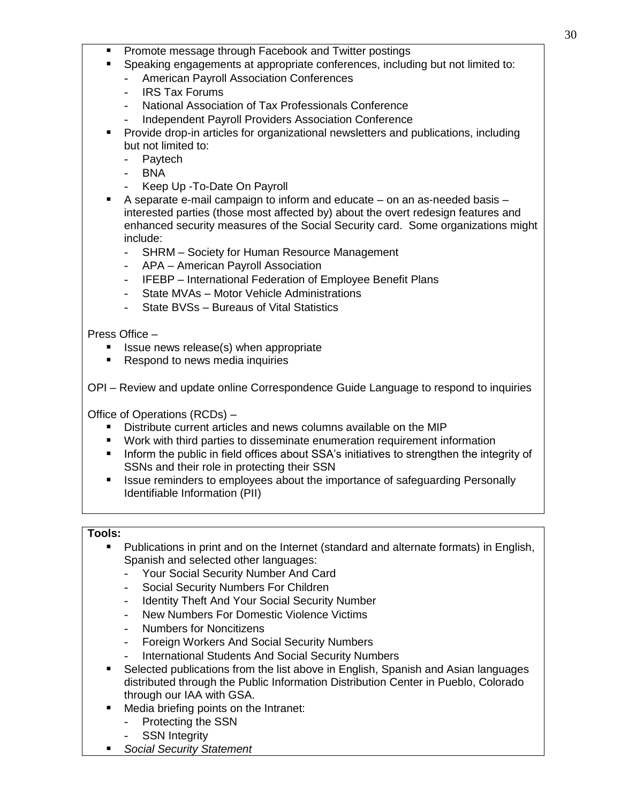- Promote message through Facebook and Twitter postings
	- Speaking engagements at appropriate conferences, including but not limited to:
		- American Payroll Association Conferences
		- IRS Tax Forums
		- National Association of Tax Professionals Conference
		- Independent Payroll Providers Association Conference
- Provide drop-in articles for organizational newsletters and publications, including but not limited to:
	- Paytech
	- BNA
	- Keep Up To-Date On Payroll
- A separate e-mail campaign to inform and educate on an as-needed basis interested parties (those most affected by) about the overt redesign features and enhanced security measures of the Social Security card. Some organizations might include:
	- SHRM Society for Human Resource Management
	- APA American Payroll Association
	- IFEBP International Federation of Employee Benefit Plans
	- State MVAs Motor Vehicle Administrations
	- State BVSs Bureaus of Vital Statistics

Press Office –

- Issue news release(s) when appropriate
- Respond to news media inquiries

OPI – Review and update online Correspondence Guide Language to respond to inquiries

Office of Operations (RCDs) –

- Distribute current articles and news columns available on the MIP
- Work with third parties to disseminate enumeration requirement information
- **Inform the public in field offices about SSA's initiatives to strengthen the integrity of** SSNs and their role in protecting their SSN
- **In It issue reminders to employees about the importance of safeguarding Personally** Identifiable Information (PII)

# **Tools:**

- **Publications in print and on the Internet (standard and alternate formats) in English,** Spanish and selected other languages:
	- Your Social Security Number And Card
	- Social Security Numbers For Children
	- Identity Theft And Your Social Security Number
	- New Numbers For Domestic Violence Victims
	- Numbers for Noncitizens
	- Foreign Workers And Social Security Numbers
	- International Students And Social Security Numbers
- Selected publications from the list above in English, Spanish and Asian languages distributed through the Public Information Distribution Center in Pueblo, Colorado through our IAA with GSA.
- Media briefing points on the Intranet:
	- Protecting the SSN
	- **SSN Integrity**
- *Social Security Statement*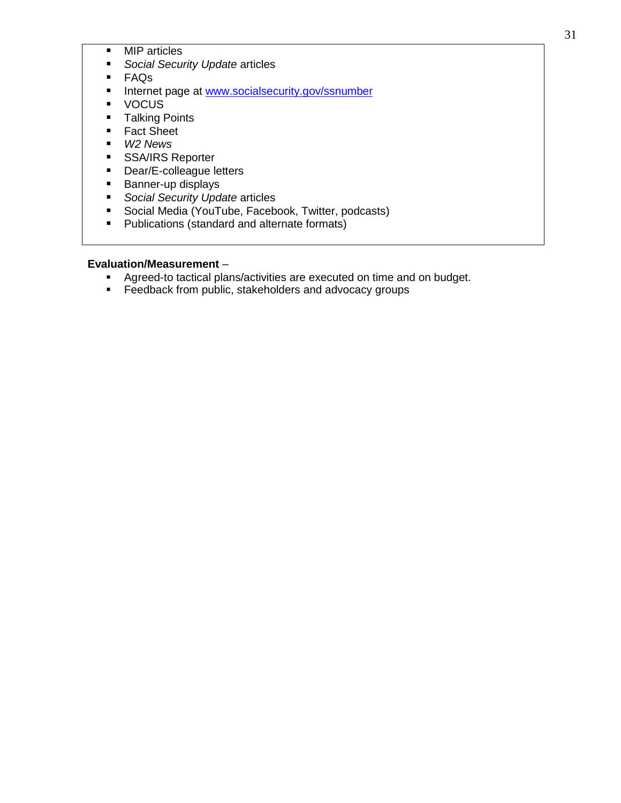- **MIP** articles
- *Social Security Update* articles
- FAQs
- Internet page at [www.socialsecurity.gov/ssnumber](http://www.socialsecurity.gov/ssnumber)
- **vocus**
- **Talking Points**
- Fact Sheet
- *W2 News*
- **SSA/IRS Reporter**
- Dear/E-colleague letters
- **Banner-up displays**
- *Social Security Update* articles
- Social Media (YouTube, Facebook, Twitter, podcasts)
- **Publications (standard and alternate formats)**

- **Agreed-to tactical plans/activities are executed on time and on budget.**
- **Feedback from public, stakeholders and advocacy groups**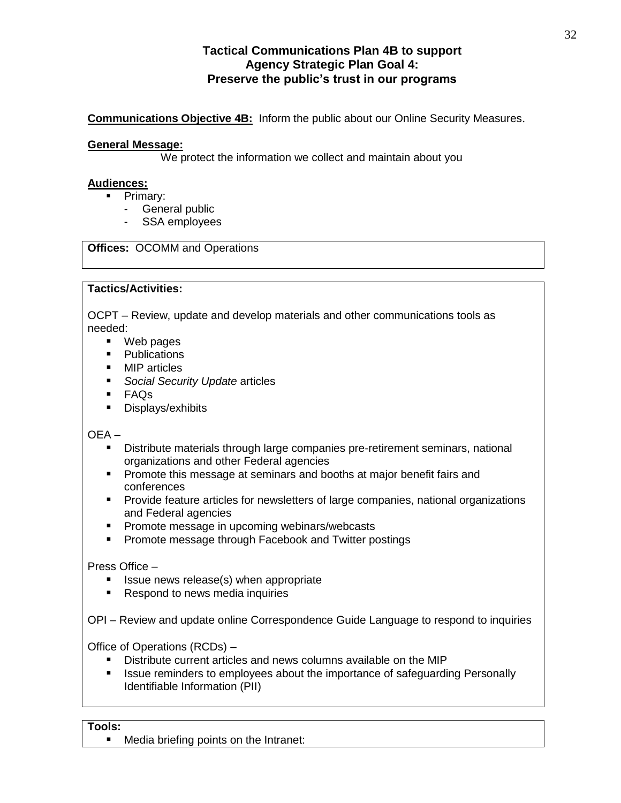# **Tactical Communications Plan 4B to support Agency Strategic Plan Goal 4: Preserve the public's trust in our programs**

**Communications Objective 4B:** Inform the public about our Online Security Measures.

#### **General Message:**

We protect the information we collect and maintain about you

#### **Audiences:**

- **Primary:** 
	- General public
	- SSA employees

# **Offices:** OCOMM and Operations

#### **Tactics/Activities:**

OCPT – Review, update and develop materials and other communications tools as needed:

- Web pages
- Publications
- MIP articles
- *Social Security Update* articles
- FAQs
- **Displays/exhibits**

# OEA –

- Distribute materials through large companies pre-retirement seminars, national organizations and other Federal agencies
- **Promote this message at seminars and booths at major benefit fairs and** conferences
- **Provide feature articles for newsletters of large companies, national organizations** and Federal agencies
- **Promote message in upcoming webinars/webcasts**
- **Promote message through Facebook and Twitter postings**

# Press Office –

- **If** Issue news release(s) when appropriate
- Respond to news media inquiries

OPI – Review and update online Correspondence Guide Language to respond to inquiries

Office of Operations (RCDs) –

- Distribute current articles and news columns available on the MIP
- **In It issue reminders to employees about the importance of safeguarding Personally** Identifiable Information (PII)

#### **Tools:**

**Media briefing points on the Intranet:**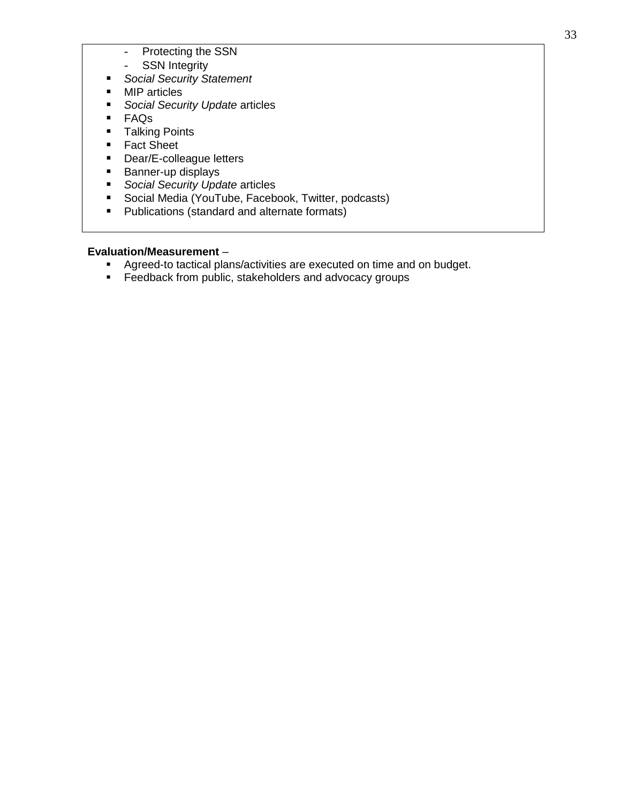- Protecting the SSN
- SSN Integrity
- *Social Security Statement*
- MIP articles
- *Social Security Update* articles
- FAQs
- **Talking Points**
- Fact Sheet
- Dear/E-colleague letters
- **Banner-up displays**
- *Social Security Update* articles
- **Social Media (YouTube, Facebook, Twitter, podcasts)**
- **Publications (standard and alternate formats)**

- **Agreed-to tactical plans/activities are executed on time and on budget.**
- **Feedback from public, stakeholders and advocacy groups**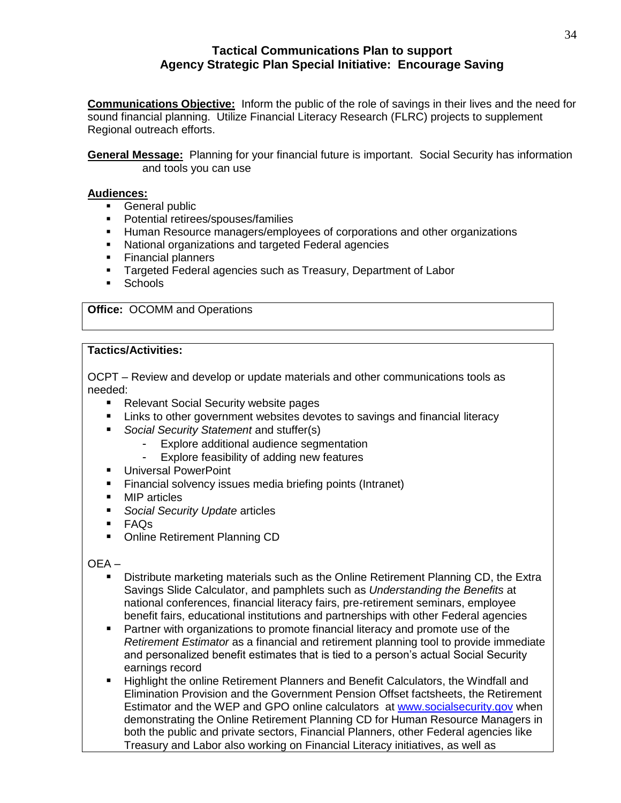# **Tactical Communications Plan to support Agency Strategic Plan Special Initiative: Encourage Saving**

**Communications Objective:** Inform the public of the role of savings in their lives and the need for sound financial planning. Utilize Financial Literacy Research (FLRC) projects to supplement Regional outreach efforts.

**General Message:** Planning for your financial future is important. Social Security has information and tools you can use

#### **Audiences:**

- **General public**
- **Potential retirees/spouses/families**
- Human Resource managers/employees of corporations and other organizations
- National organizations and targeted Federal agencies
- Financial planners
- Targeted Federal agencies such as Treasury, Department of Labor
- **Schools**

# **Office:** OCOMM and Operations

# **Tactics/Activities:**

OCPT – Review and develop or update materials and other communications tools as needed:

- Relevant Social Security website pages
- **EXECT** Links to other government websites devotes to savings and financial literacy
- *Social Security Statement* and stuffer(s)
	- Explore additional audience segmentation
	- Explore feasibility of adding new features
- **Universal PowerPoint**
- **Financial solvency issues media briefing points (Intranet)**
- **MIP** articles
- *Social Security Update* articles
- FAQs
- Online Retirement Planning CD

OEA –

- Distribute marketing materials such as the Online Retirement Planning CD, the Extra Savings Slide Calculator, and pamphlets such as *Understanding the Benefits* at national conferences, financial literacy fairs, pre-retirement seminars, employee benefit fairs, educational institutions and partnerships with other Federal agencies
- Partner with organizations to promote financial literacy and promote use of the *Retirement Estimator* as a financial and retirement planning tool to provide immediate and personalized benefit estimates that is tied to a person's actual Social Security earnings record
- Highlight the online Retirement Planners and Benefit Calculators, the Windfall and Elimination Provision and the Government Pension Offset factsheets, the Retirement Estimator and the WEP and GPO online calculators at [www.socialsecurity.gov](http://www.socialsecurity.gov/) when demonstrating the Online Retirement Planning CD for Human Resource Managers in both the public and private sectors, Financial Planners, other Federal agencies like Treasury and Labor also working on Financial Literacy initiatives, as well as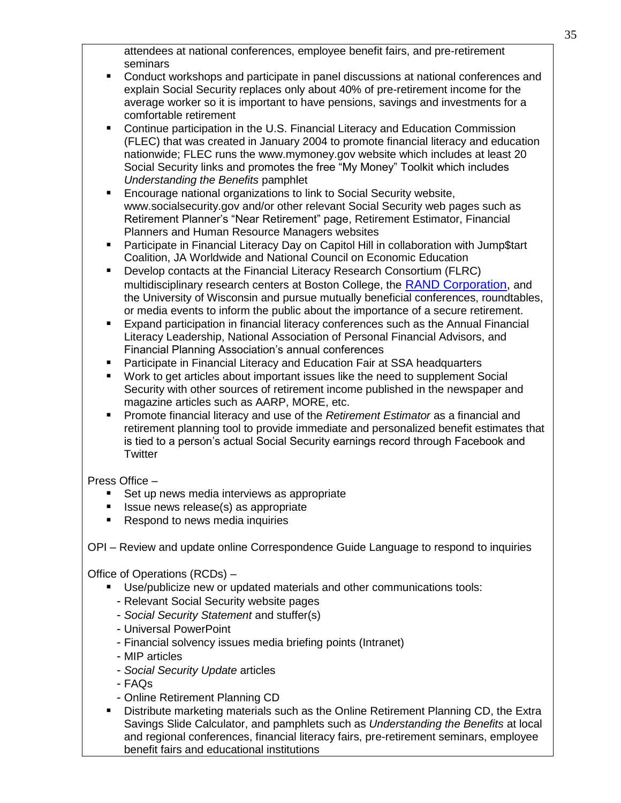attendees at national conferences, employee benefit fairs, and pre-retirement seminars

- Conduct workshops and participate in panel discussions at national conferences and explain Social Security replaces only about 40% of pre-retirement income for the average worker so it is important to have pensions, savings and investments for a comfortable retirement
- Continue participation in the U.S. Financial Literacy and Education Commission (FLEC) that was created in January 2004 to promote financial literacy and education nationwide; FLEC runs the www.mymoney.gov website which includes at least 20 Social Security links and promotes the free "My Money" Toolkit which includes *Understanding the Benefits* pamphlet
- Encourage national organizations to link to Social Security website, www.socialsecurity.gov and/or other relevant Social Security web pages such as Retirement Planner's "Near Retirement" page, Retirement Estimator, Financial Planners and Human Resource Managers websites
- Participate in Financial Literacy Day on Capitol Hill in collaboration with Jump\$tart Coalition, JA Worldwide and National Council on Economic Education
- Develop contacts at the Financial Literacy Research Consortium (FLRC) multidisciplinary research centers at Boston College, the [RAND Corporation,](http://www.rand.org/labor/centers/financial-literacy/) and the University of Wisconsin and pursue mutually beneficial conferences, roundtables, or media events to inform the public about the importance of a secure retirement.
- Expand participation in financial literacy conferences such as the Annual Financial Literacy Leadership, National Association of Personal Financial Advisors, and Financial Planning Association's annual conferences
- Participate in Financial Literacy and Education Fair at SSA headquarters
- Work to get articles about important issues like the need to supplement Social Security with other sources of retirement income published in the newspaper and magazine articles such as AARP, MORE, etc.
- Promote financial literacy and use of the *Retirement Estimator* as a financial and retirement planning tool to provide immediate and personalized benefit estimates that is tied to a person's actual Social Security earnings record through Facebook and **Twitter**

Press Office –

- Set up news media interviews as appropriate
- Issue news release(s) as appropriate
- Respond to news media inquiries

OPI – Review and update online Correspondence Guide Language to respond to inquiries

Office of Operations (RCDs) –

- Use/publicize new or updated materials and other communications tools:
	- Relevant Social Security website pages
	- *Social Security Statement* and stuffer(s)
	- Universal PowerPoint
	- Financial solvency issues media briefing points (Intranet)
	- MIP articles
	- *Social Security Update* articles
	- FAQs
	- Online Retirement Planning CD
- Distribute marketing materials such as the Online Retirement Planning CD, the Extra Savings Slide Calculator, and pamphlets such as *Understanding the Benefits* at local and regional conferences, financial literacy fairs, pre-retirement seminars, employee benefit fairs and educational institutions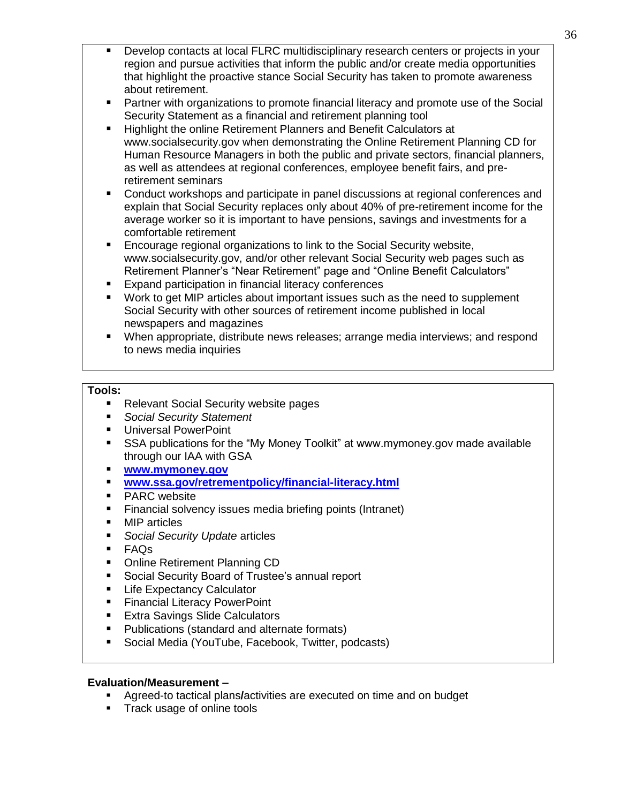- Develop contacts at local FLRC multidisciplinary research centers or projects in your region and pursue activities that inform the public and/or create media opportunities that highlight the proactive stance Social Security has taken to promote awareness about retirement.
- Partner with organizations to promote financial literacy and promote use of the Social Security Statement as a financial and retirement planning tool
- Highlight the online Retirement Planners and Benefit Calculators at www.socialsecurity.gov when demonstrating the Online Retirement Planning CD for Human Resource Managers in both the public and private sectors, financial planners, as well as attendees at regional conferences, employee benefit fairs, and preretirement seminars
- Conduct workshops and participate in panel discussions at regional conferences and explain that Social Security replaces only about 40% of pre-retirement income for the average worker so it is important to have pensions, savings and investments for a comfortable retirement
- Encourage regional organizations to link to the Social Security website, www.socialsecurity.gov, and/or other relevant Social Security web pages such as Retirement Planner's "Near Retirement" page and "Online Benefit Calculators"
- **Expand participation in financial literacy conferences**
- Work to get MIP articles about important issues such as the need to supplement Social Security with other sources of retirement income published in local newspapers and magazines
- When appropriate, distribute news releases; arrange media interviews; and respond to news media inquiries

# **Tools:**

- **Relevant Social Security website pages**
- *Social Security Statement*
- **Universal PowerPoint**
- SSA publications for the "My Money Toolkit" at www.mymoney.gov made available through our IAA with GSA
- **[www.mymoney.gov](http://www.mymoney.gov/)**
- **[www.ssa.gov/retrementpolicy/financial-literacy.html](http://www.ssa.gov/retrementpolicy/financial-literacy.html)**
- **PARC** website
- **Financial solvency issues media briefing points (Intranet)**
- MIP articles
- *Social Security Update* articles
- FAQs
- Online Retirement Planning CD
- Social Security Board of Trustee's annual report
- **Life Expectancy Calculator**
- Financial Literacy PowerPoint
- **Extra Savings Slide Calculators**
- **Publications (standard and alternate formats)**
- Social Media (YouTube, Facebook, Twitter, podcasts)

- Agreed-to tactical plans**/**activities are executed on time and on budget
- **Track usage of online tools**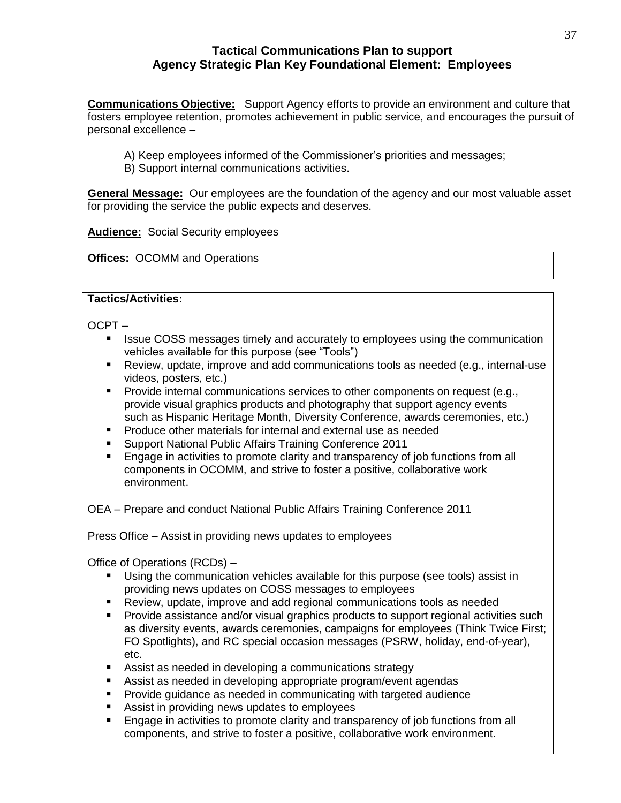# **Tactical Communications Plan to support Agency Strategic Plan Key Foundational Element: Employees**

**Communications Objective:** Support Agency efforts to provide an environment and culture that fosters employee retention, promotes achievement in public service, and encourages the pursuit of personal excellence –

- A) Keep employees informed of the Commissioner's priorities and messages;
- B) Support internal communications activities.

**General Message:** Our employees are the foundation of the agency and our most valuable asset for providing the service the public expects and deserves.

**Audience:** Social Security employees

**Offices:** OCOMM and Operations

# **Tactics/Activities:**

OCPT –

- Issue COSS messages timely and accurately to employees using the communication vehicles available for this purpose (see "Tools")
- Review, update, improve and add communications tools as needed (e.g., internal-use videos, posters, etc.)
- **Provide internal communications services to other components on request (e.g.,** provide visual graphics products and photography that support agency events such as Hispanic Heritage Month, Diversity Conference, awards ceremonies, etc.)
- **Produce other materials for internal and external use as needed**
- Support National Public Affairs Training Conference 2011
- **Engage in activities to promote clarity and transparency of job functions from all** components in OCOMM, and strive to foster a positive, collaborative work environment.

OEA – Prepare and conduct National Public Affairs Training Conference 2011

Press Office – Assist in providing news updates to employees

Office of Operations (RCDs) –

- Using the communication vehicles available for this purpose (see tools) assist in providing news updates on COSS messages to employees
- Review, update, improve and add regional communications tools as needed
- Provide assistance and/or visual graphics products to support regional activities such as diversity events, awards ceremonies, campaigns for employees (Think Twice First; FO Spotlights), and RC special occasion messages (PSRW, holiday, end-of-year), etc.
- Assist as needed in developing a communications strategy
- Assist as needed in developing appropriate program/event agendas
- **Provide guidance as needed in communicating with targeted audience**
- **Assist in providing news updates to employees**
- **Engage in activities to promote clarity and transparency of job functions from all** components, and strive to foster a positive, collaborative work environment.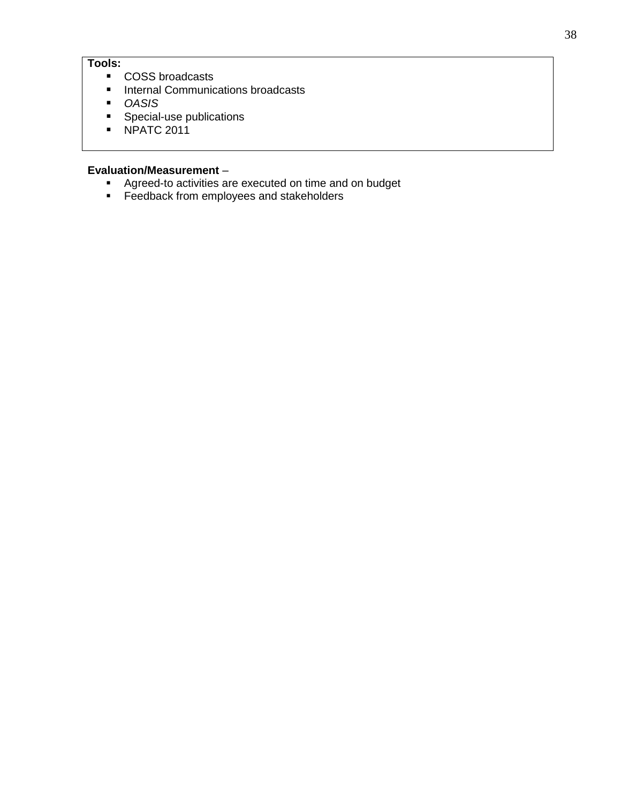# **Tools:**

- COSS broadcasts
- **Internal Communications broadcasts**
- *OASIS*
- **Special-use publications**
- NPATC 2011

- **Agreed-to activities are executed on time and on budget**
- **Feedback from employees and stakeholders**